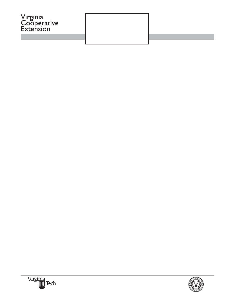# Grains and Other Agronomic Crops



AND STATE UNIVERSITY VIRGINIA STATE UNIVERSITY Virginia Cooperative Extension programs and employment are open to all, regardless of race, color, religion, sex, agen-veteran<br>tus, national affiliation. An equal opportunity/affirmative action employer. Issued intaked of<br>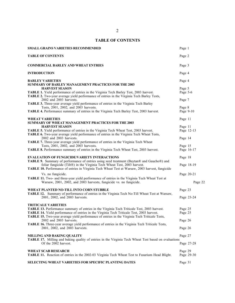# **TABLE OF CONTENTS**

| <b>SMALL GRAINS VARIETIES RECOMMENDED</b>                                                                                                                                                                             | Page 1             |            |
|-----------------------------------------------------------------------------------------------------------------------------------------------------------------------------------------------------------------------|--------------------|------------|
| <b>TABLE OF CONTENTS</b>                                                                                                                                                                                              | Page 2             |            |
| <b>COMMERCIAL BARLEY AND WHEAT ENTRIES</b>                                                                                                                                                                            | Page 3             |            |
| <b>INTRODUCTION</b>                                                                                                                                                                                                   | Page 4             |            |
| <b>BARLEY VARIETIES</b><br><b>SUMMARY OF BARLEY MANAGEMENT PRACTICES FOR THE 2003</b>                                                                                                                                 | Page 4             |            |
| <b>HARVEST SEASON</b>                                                                                                                                                                                                 | Page 5             |            |
| TABLE 1. Yield performance of entries in the Virginia Tech Barley Test, 2003 harvest.<br>TABLE 2. Two-year average yield performance of entries in the Virginia Tech Barley Tests,<br>2002 and 2003 harvests.         | Page 5-6<br>Page 7 |            |
| TABLE 3. Three-year average yield performance of entries in the Virginia Tech Barley<br>Tests, 2001, 2002, and 2003 harvests.                                                                                         | Page 8             |            |
| TABLE 4. Performance summary of entries in the Virginia Tech Barley Test, 2003 harvest.                                                                                                                               | Page 9-10          |            |
| <b>WHEAT VARIETIES</b><br><b>SUMMARY OF WHEAT MANAGEMENT PRACTICES FOR THE 2003</b>                                                                                                                                   | Page 11            |            |
| <b>HARVEST SEASON</b>                                                                                                                                                                                                 | Page 11            |            |
| TABLE 5. Yield performance of entries in the Virginia Tech Wheat Test, 2003 harvest.<br>TABLE 6. Two-year average yield performance of entries in the Virginia Tech Wheat Tests,                                      |                    | Page 12-13 |
| 2002 and 2003 harvests.<br>TABLE 7. Three-year average yield performance of entries in the Virginia Tech Wheat                                                                                                        | Page 14            |            |
| Tests, 2001, 2002, and 2003 harvests.                                                                                                                                                                                 | Page 15            |            |
| TABLE 8. Performance summary of entries in the Virginia Tech Wheat Test, 2003 harvest.                                                                                                                                |                    | Page 16-17 |
| <b>EVALUATION OF FUNGICIDE/VARIETY INTERACTIONS</b><br>TABLE 9. Summary of performance of entries using seed treatment (Baytan® and Gaucho®) and                                                                      | Page 18            |            |
| foliar fungicide (Tilt®) in the Virginia Tech Wheat Test, 2003 harvest.<br>TABLE 10. Performance of entries in Virginia Tech Wheat Test at Warsaw, 2003 harvest, fungicide                                            |                    | Page 18-19 |
| Vs. no fungicide.                                                                                                                                                                                                     | Page 20-21         |            |
| TABLE 11. Two- and three-year yield performance of entries in the Virginia Tech Wheat Test at<br>Warsaw, 2001, 2002, and 2003 harvests, fungicide vs. no fungicide.                                                   |                    | Page 22    |
| WHEAT PLANTED NO-TILL INTO CORN STUBBLE<br>TABLE 12. Summary of performance of entries in the Virginia Tech No-Till Wheat Test at Warsaw,                                                                             | Page 23            |            |
| 2001, 2002, and 2003 harvests.                                                                                                                                                                                        |                    | Page 23-24 |
| <b>TRITICALE VARIETIES</b>                                                                                                                                                                                            |                    |            |
| <b>TABLE 13.</b> Performance summary of entries in the Virginia Tech Triticale Test, 2003 harvest.                                                                                                                    | Page 25            |            |
| TABLE 14. Yield performance of entries in the Virginia Tech Triticale Test, 2003 harvest.<br>TABLE 15. Two-year average yield performance of entries in the Virginia Tech Triticale Tests,<br>2002 and 2003 harvests. | Page 25<br>Page 26 |            |
| <b>TABLE 16.</b> Three-year average yield performance of entries in the Virginia Tech Triticale Tests,                                                                                                                |                    |            |
| 2001, 2002, and 2003 harvests.                                                                                                                                                                                        | Page 26            |            |
| <b>MILLING AND BAKING QUALITY</b>                                                                                                                                                                                     | Page 27            |            |
| TABLE 17. Milling and baking quality of entries in the Virginia Tech Wheat Test based on evaluations<br>Of the 2002 harvest.                                                                                          | Page 27-28         |            |
| <b>WHEAT SCAB RESEARCH</b>                                                                                                                                                                                            | Page 29            |            |
| TABLE 11. Reaction of entries in the 2002-03 Virginia Tech Wheat Test to Fusarium Head Blight.                                                                                                                        |                    | Page 29-30 |
| SELECTING WHEAT VARIETIES FOR SPECIFIC PLANTING DATES                                                                                                                                                                 | Page 31            |            |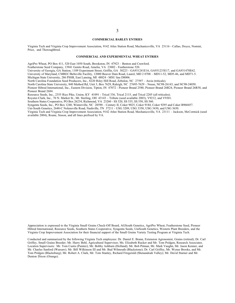#### **COMMERCIAL BARLEY ENTRIES**

Virginia Tech and Virginia Crop Improvement Association, 9142 Atlee Station Road, Mechanicsville, VA 23116 - Callao, Doyce, Nomini, Price, and Thoroughbred.

#### **COMMERCIAL AND EXPERIMENTAL WHEAT ENTRIES**

AgriPro Wheat, PO Box 411, 520 East 1050 South, Brookston, IN 47923 – Benton and Crawford.

Featherstone Seed Company, 13941 Genito Road, Amelia, VA 23002 - Featherstone 520.

University of Georgia, GA Station, 1109 Experiment Street, Griffin, GA 30223 - GA931241E16, GA931233E17, and GA931470E62.

University of Maryland, CMREC/Beltsville Facility, 12000 Beaver Dam Road, Laurel, MD 2 0708 – MD11-52, MD5-46, and MD71-5.

Michigan State University, 286 PSSB, East Lansing, MI 48824 - MSU line D8006.

North Carolina Foundation Seed Producers, Inc., 8220 Riley Hill Road, Zebulon, NC 27597 – Arcia (triticale).

North Carolina State University, 840 Method Rd, Unit 3, Box 7629, Raleigh, NC 27695-7629 – Neuse, NC98-26143, and NC98-24050. Pioneer Hibred International, Inc., Eastern Division, Tipton, IN 47072 - Pioneer Brand 2580, Pioneer Brand 26R24, Pioneer Brand 26R58, and

Pioneer Brand 2684.

Resource Seeds, Inc., 2355 Rice Pike, Union, KY 41091 - Trical 336, Trical 2115, and Trical 2205 (all triticales).

Royster-Clark, Inc., 70 N. Market St., Mt. Sterling, OH 43143 – Tribute (seed available 2003), V9212, and V9301.

Southern States Cooperative, PO Box 26234, Richmond, VA 23260 - SS 520, SS 535, SS 550, SS 560.

Syngenta Seeds, Inc., PO Box 1240, Winterville, NC 28590 – Century II, Coker 9025, Coker 9184, Coker 9295 and Coker B960457.

Uni-South Genetics, 2640-C Nolensville Road, Nashville, TN 37211 - USG 3209, USG 3350, USG 3430, and USG 3650.

Virginia Tech and Virginia Crop Improvement Association, 9142 Atlee Station Road, Mechanicsville, VA 23111 – Jackson, McCormick (seed available 2004), Roane, Sisson, and all lines prefixed by VA.

Appreciation is expressed to the Virginia Small Grains Check-Off Board, AGSouth Genetics, AgriPro Wheat, Featherstone Seed, Pioneer Hibred International, Resource Seeds, Southern States Cooperative, Syngenta Seeds, UniSouth Genetics, Western Plant Breeders, and the Virginia Crop Improvement Association for their financial support of the Small Grains Variety Testing Program at Virginia Tech.

Conducted and summarized by the following Virginia Tech employees: Dr. Daniel E. Brann, Extension Agronomist, Grains (retired); Dr. Carl Griffey, Small Grains Breeder; Mr. Harry Behl, Agricultural Supervisor; Ms. Elizabeth Rucker and Mr. Tom Pridgen, Research Associates. Location Supervisors: Mr. Tom Custis (Painter); Mr. Bobby Ashburn (Holland); Mr. Bob Pitman, Mr. Mark Vaughn, Mr. Jason Kenner, and Mr. Charles Sanford (Warsaw); Mr. Bill Wilkinson III and Mr. Bud Wilmouth (Blackstone); Dr. Carl Griffey, Mr. Wynse Brooks, and Mr. Tom Pridgen (Blacksburg); Mr. Robert A. Clark, Mr. Tom Stanley, Richard Fitzgerald (Shenandoah Valley); Mr. David Starner and Mr. Denton Dixon (Orange).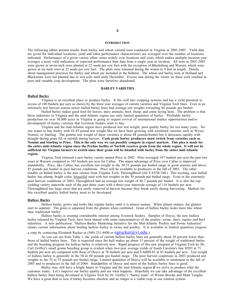#### **INTRODUCTION**

The following tables present results from barley and wheat varietal tests conducted in Virginia in 2001-2003. Yield data are given for individual locations; yield and other performance characteristics are averaged over the number of locations indicated. Performance of a given variety often varies widely over locations and years which makes multiple location-year averages a more valid indication of expected performance than data from a single year or location. All tests in 2001-2003 were grown in seven-inch rows planted at 22 seeds per row foot with the exception of Blacksburg and Warsaw which were grown in six-inch rows at 22 seeds per row foot. The plots were trimmed during the winter to 9 feet in length. Details about management practices for barley and wheat are included in the bulletin. The wheat and barley tests at Holland and Blackstone were not planted due to wet soils until early December. Excess rain during the winter on these soils resulted in poor and variable crop development. The plots were therefore abandoned.

## **BARLEY VARIETIES**

#### **Hulled Barley**

Virginia is an excellent place to produce barley. It fits well into cropping systems and has a yield potential in excess of 100 bushels per acre as shown by the three year averages of current varieties and Virginia Tech lines. Even in an extremely wet harvest season newer hulled barley lines had average test weights exceeding 46 pounds per bushel.

Hulled barley makes good feed for horses, dairy animals, beef, sheep, and some laying hens. The problem is that these industries in Virginia and the mid-Atlantic region use only limited quantities of barley. Profitable barley production on over 50,000 acres in Virginia is going to require revival of international market opportunities and/or development of barley varieties that livestock feeders want to buy.

Virginia and the mid-Atlantic region have produced low test weight, poor quality barley for too many years. No one wants to buy barley with 43-45 pound test weight like we have been growing with awnletted varieties such as Wysor, Nomini, or Starling. The genetic test weight of these varieties is about 48 pounds/bushel but it decreases rapidly with drought during grain fill or rainfall during harvest. **Cash grain barley producers must switch from varieties such as Nomini and Starling to Price. This is the only way we can possibly compete in export markets. This plea is made for the entire mid-Atlantic region since the Perdue facility at Norfolk receives grain from the whole region. It will not be sufficient for Virginia farmers to switch since their grain will be blended with barley from the entire mid-Atlantic region.**

Virginia Tech released a new barley variety named Price in 2002. Price averaged 107 bushels per acre the past two years at Warsaw compared to 103 bushels per acre for Callao. The major advantage of Price over Callao is improved standability. Price, like Callao, has excellent test weight in the 50-51 pounds per bushel range in good seasons and above 45 pounds per bushel in poor harvest conditions. Price will be available to producers in the fall of 2003. The other notable on hulled barley is the new release from Virginia Tech, Thoroughbred (old VA97B-388.) This exciting, new hulled barley has plump, bright color, beautiful seed with test weights in the 50 pounds per bushel range. Even in the extremely poor harvest conditions of 2003, Thoroghbred had an average test weight of 46.7 pounds per bushel. It is also the topyielding variety statewide each of the past three years with a three-year statewide average of 116 bushels per acre. Thoroughbred has large awns that are easily removed at harvest because they break easily during harvesting. Markets for this excellent quality hulled barley need to be developed.

#### **Hulless Barley**

Hulless barley grows and looks like regular barley until it is almost mature. When almost mature, the glumes start to separate. The grain is separated from the glumes when combined. Grain of hulless barley looks more like wheat than traditional barley.

Hulless barley is creating considerable interest among livestock feeders. Samples of Doyce, the new hulless barley released by Virginia Tech, have been shared with some representatives of the poultry, swine, dairy, equine and beef industries. A new publication, "Hulless Barley Marketing Initiative for the Mid-Atlantic Poultry and Swine Industries" relates current information about feeding hulless barley to swine and poultry. It is available in limited quantities (request

## a copy by contacting Elizabeth Rucker at (540) 231-4490 or  $egrucker@vt.edu.)$

As you can see from Table 1, the yields of current hulless barley lines are generally about 20 percent lower than those of hulled barley lines. This is expected since the hull makes up about 15 percent of the weight of traditional barley and the breeding program for hulless barley is relatively new. Rapid progress of this new program at Virginia Tech by Dr. Carl Griffey's small grains breeding group is evident when two-year average yields of South Carolina's line H585 at 71 bushels per acre are compared with those of Doyce at 78 bushels per acre and VA00H-65 at 83 bushels per acre. Test weight of hulless barley is generally in the 56 to 60 pounds per bushel range. The poor harvest conditions in 2003 produced test weights in the 52 to 55 pounds per bushel range. Limited quantities of Doyce will be available to seedsment in the fall of 2003 and to producers in the fall of 2004. Standability of Doyce and most of the hulless barley lines is good.

Barley may still have a bright future in Virginia and the mid-Atlantic region **if** we strive to produce what the customer wants. Let's improve our barley quality and see what happens. Hopefully we can take advantage of the excellent hulless barley lines being developed at Virginia Tech by Dr. Griffey's "barley team" of Wynse Brooks and Mark Vaughn. We have a great deal to lose if barley becomes obsolete and no longer is a viable crop in our rotation system.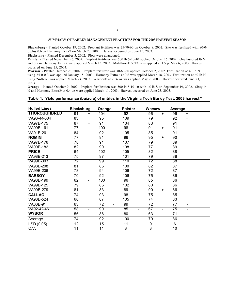## **SUMMARY OF BARLEY MANAGEMENT PRACTICES FOR THE 2003 HARVEST SEASON**

**Blacksburg** - Planted October 19, 2002. Preplant fertilizer was 25-70-60 on October 8, 2002. Site was fertilized with 80-0- 0 plus 0.6 oz Harmony Extra7 on March 23, 2003. Harvest occurred on June 15, 2003.

**Blackstone** - Planted December 3, 2002. Plots were abandoned.

Painter - Planted November 26, 2002. Preplant fertilizer was 500 lb 5-10-10 applied October 16, 2002. One hundred lb N and 0.5 oz Harmony Extra7 were applied March 13, 2003. Malathion® 57EC was applied at 1.5 pt May 6, 2003. Harvest occurred on June 25, 2003.

**Warsaw** - Planted October 23, 2002. Preplant fertilizer was 30-60-60 applied October 2, 2002. Fertilization at 40 lb N using 24-0-0-3 was applied January 15, 2003. Harmony Extra7 at 0.6 was applied March 18, 2003. Fertilization at 40 lb N using 24-0-0-3 was applied March 24, 2003. Warrior® at 2.56 oz was applied May 2, 2003. Harvest occurred June 23, 2003.

**Orange** - Planted October 9, 2002. Preplant fertilization was 500 lb 5-10-10 with 15 lb S on September 19, 2002. Sixty lb N and Harmony Extra® at 0.4 oz were applied March 11, 2003. Harvest occurred on June 23, 2003.

| <b>Hulled Lines</b> | <b>Blacksburg</b>    | Orange | <b>Painter</b>                     | Warsaw           |                              | Average |                          |  |
|---------------------|----------------------|--------|------------------------------------|------------------|------------------------------|---------|--------------------------|--|
| <b>THOROUGHBRED</b> | 91<br>$\ddot{}$      | 104    | 92                                 | 96               | $\ddot{}$                    | 96      | $+$                      |  |
| VA96-44-304         | 83                   | 95     | 109                                | 79               |                              | 92      | $\ddot{}$                |  |
| VA97B-175           | 87<br>$\ddot{}$      | 91     | 104                                | 83               |                              | 91      |                          |  |
| VA99B-161           | 77                   | 100    | 98                                 | 91               | $+$                          | 91      |                          |  |
| VA01B-26            | 84                   | 92     | 105                                | 85               |                              | 91      |                          |  |
| <b>NOMINI</b>       | 77                   | 91     | 96                                 | 95               | $+$                          | 90      |                          |  |
| VA97B-176           | 78                   | 91     | 107                                | 79               |                              | 89      |                          |  |
| VA00B-182           | 82                   | 90     | 108                                | 77               |                              | 89      |                          |  |
| <b>PRICE</b>        | 64                   | 102    | 105                                | 82               |                              | 88      |                          |  |
| VA98B-213           | 75                   | 97     | 101                                | 79               |                              | 88      |                          |  |
| VA99B-303           | 72                   | 99     | 110                                | 72               |                              | 88      |                          |  |
| VA98B-208           | 81                   | 85     | 100                                | 82               |                              | 87      |                          |  |
| VA99B-206           | 78                   | 94     | 106                                | 72               |                              | 87      |                          |  |
| <b>BARSOY</b>       | 70                   | 92     | 106                                | 75               |                              | 86      |                          |  |
| VA98B-199           | 62                   | 100    | 96                                 | 85               |                              | 86      |                          |  |
| VA99B-125           | 79                   | 85     | 102                                | 80               |                              | 86      |                          |  |
| VA00B-279           | 81                   | 83     | 89<br>$\overline{a}$               | 90               | $+$                          | 86      |                          |  |
| <b>CALLAO</b>       | 74                   | 93     | 98                                 | 75               |                              | 85      |                          |  |
| VA98B-524           | 66                   | 87     | 105                                | 74               |                              | 83      |                          |  |
| VA00B-91            | 63                   | 72     | 99                                 | 72               |                              | 77      | -                        |  |
| VA92-42-46          | 58<br>$\blacksquare$ | 90     | 85<br>$\qquad \qquad \blacksquare$ | 67               | $\qquad \qquad \blacksquare$ | 75      | $\overline{\phantom{0}}$ |  |
| <b>WYSOR</b>        | 56                   | 86     | 80<br>$\qquad \qquad \blacksquare$ | 63               | $\qquad \qquad \blacksquare$ | 71      |                          |  |
| Average             | 74                   | 92     | 100                                | 79               |                              | 86      |                          |  |
| LSD(0.05)           | 12                   | 15     | 11                                 | $\boldsymbol{9}$ |                              | $\,6\,$ |                          |  |
| C.V.                | 11                   | 11     | 8                                  | 8                |                              | 10      |                          |  |

## **Table 1. Yield performance (bu/acre) of entries in the Virginia Tech Barley Test, 2003 harvest.\***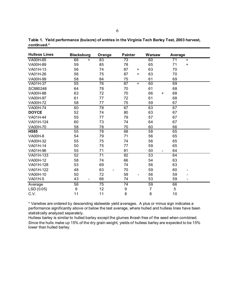| <b>Hulless Lines</b> | <b>Blacksburg</b> | Orange          | <b>Painter</b>  | <b>Warsaw</b>   | Average         |
|----------------------|-------------------|-----------------|-----------------|-----------------|-----------------|
| <b>VA00H-65</b>      | 66<br>$+$         | 83              | 73              | 60              | 71<br>$+$       |
| VA00H-89             | 59                | 85              | 78              | 65              | 71<br>$\ddot{}$ |
| VA01H-13             | 56                | 74              | 87<br>$\ddot{}$ | 63              | 70              |
| VA01H-26             | 56                | 75              | 87<br>$\ddot{}$ | 63              | 70              |
| VA00H-99             | 58                | 84              | 75              | 61              | 69              |
| <b>VA01H-37</b>      | 55                | 76              | 87              | 60<br>$\ddot{}$ | 69              |
| SC880248             | 64                | 78              | 70              | 61              | 68              |
| <b>VA00H-88</b>      | 63                | 72              | 70              | 66<br>$\ddot{}$ | 68              |
| <b>VA00H-97</b>      | 61                | 77              | 72              | 61              | 68              |
| VA00H-72             | 58                | 77              | 75              | 59              | 67              |
| VA00H-74             | 60                | 78              | 67              | 63              | 67              |
| <b>DOYCE</b>         | 52                | 74              | 80              | 63              | 67              |
| VA01H-44             | 55                | 77              | 79              | 57              | 67              |
| VA01H-124            | 60                | 73              | 74              | 64              | 67              |
| VA00H-70             | 58                | 78              | 70              | 60              | 66              |
| H585                 | 55                | 78              | 68              | 58              | 65              |
| <b>VA00H-8</b>       | 54                | 79              | 71              | 56              | 65              |
| VA00H-32             | 55                | 75              | 74              | 56              | 65              |
| VA01H-14             | 50                | 75              | 77              | 59              | 65              |
| VA01H-96             | 55                | 71              | 81              | 50              | 64              |
| VA01H-133            | 52                | $\overline{71}$ | $\overline{82}$ | 53              | 64              |
| VA00H-12             | 58                | 74              | 66              | 54              | 63              |
| VA01H-128            | 53                | 69              | 74              | 56              | 63              |
| VA01H-122            | 48                | 63              | 70              | 59              | 60              |
| VA00H-10             | 50                | 72              | 59              | 56              | 59              |
| VA01H-5              | 43                | 66              | 74              | 53              | 59              |
| Average              | 56                | $\overline{75}$ | $\overline{74}$ | 59              | 66              |
| LSD (0.05)           | $\boldsymbol{9}$  | 12              | 9               | $\overline{7}$  | 5               |
| C.V.                 | 11                | 11              | 8               | 8               | 10              |

**Table 1. Yield performance (bu/acre) of entries in the Virginia Tech Barley Test, 2003 harvest, continued.\***

\* Varieties are ordered by descending statewide yield averages. A plus or minus sign indicates a performance significantly above or below the test average, where hulled and hulless lines have been statistically analyzed separately.

Hulless barley is similar to hulled barley except the glumes thrash free of the seed when combined. Since the hulls make up 15% of the dry grain weight, yields of hulless barley are expected to be 15% lower than hulled barley.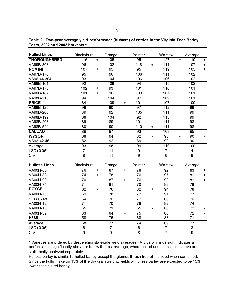| <b>Hulled Lines</b>  | Blacksburg      | Orange                       |                  | Painter        |                  | Warsaw                   | Average          |                          |                           |                          |
|----------------------|-----------------|------------------------------|------------------|----------------|------------------|--------------------------|------------------|--------------------------|---------------------------|--------------------------|
| <b>THOROUGHBRED</b>  | 116             | $+$                          | 105              |                | 95               |                          | 127              | $+$                      | 110                       | $\ddot{}$                |
| VA99B-303            | 96              |                              | 102              |                | 118              | $+$                      | 111              |                          | 107                       | +                        |
| <b>NOMINI</b>        | 107             | $\ddot{}$                    | 95               |                | 95               |                          | 119              | $+$                      | 105                       | $\ddot{}$                |
| VA97B-176            | 95              |                              | 96               |                | 106              |                          | 111              |                          | 102                       |                          |
| VA96-44-304          | 93              |                              | 104              |                | 106              |                          | 106              |                          | 102                       |                          |
| VA99B-161            | $\overline{92}$ |                              | 108              |                | 94               |                          | 115              |                          | 102                       |                          |
| VA97B-175            | 102             | $\ddot{}$                    | 93               |                | 101              |                          | 110              |                          | 101                       |                          |
| VA00B-182            | 101             | $\ddot{}$                    | 96               |                | 103              |                          | 107              |                          | 101                       |                          |
| VA98B-213            | 94              |                              | 104              |                | 97               |                          | 109              |                          | 101                       |                          |
| <b>PRICE</b>         | 84              | $\qquad \qquad \blacksquare$ | 109              | $\ddot{}$      | 101              |                          | 107              |                          | 100                       |                          |
| VA99B-125            | 96              |                              | 90               |                | 97               |                          | $\overline{112}$ |                          | 99                        |                          |
| VA99B-206            | 89              |                              | 92               |                | 105              |                          | 111              |                          | 99                        |                          |
| VA98B-199            | 88              |                              | 104              |                | 92               |                          | 113              |                          | 99                        |                          |
| VA98B-208            | 89              |                              | 89               |                | 101              |                          | 111              |                          | 98                        |                          |
| VA98B-524            | 80              |                              | 90               |                | 110              | $+$                      | 111              |                          | 98                        |                          |
| <b>CALLAO</b>        | 89              |                              | 97               |                | 93               |                          | 103              | $\blacksquare$           | 95                        |                          |
| <b>WYSOR</b>         | 88              |                              | 94               |                | 82               | $\overline{\phantom{0}}$ | 95               | $\overline{\phantom{a}}$ | 90                        |                          |
| VA92-42-46           | 82              | $\qquad \qquad -$            | 92               |                | 89               | $\overline{a}$           | 99               | $\overline{\phantom{0}}$ | 90                        | $\overline{\phantom{a}}$ |
| Average              | 93              |                              | 98               |                | 99               |                          | 110              |                          | 100                       |                          |
| LSD (0.05)           | $\overline{7}$  |                              | 11               |                | $\boldsymbol{9}$ |                          | $\overline{7}$   |                          | 4                         |                          |
| C.V.                 | 8               |                              | 11               |                | 9                |                          | $6\,$            |                          | 9                         |                          |
|                      |                 |                              |                  |                |                  |                          |                  |                          |                           |                          |
| <b>Hulless Lines</b> | Blacksburg      |                              | Orange           |                | Painter          |                          | Warsaw           |                          | Average                   |                          |
| <b>VA00H-65</b>      | 76              | $\bf{+}$                     | $\overline{87}$  | $\pm$          | $\overline{78}$  |                          | 92               |                          | $\overline{83}$           | $\ddot{}$                |
| <b>VA00H-88</b>      | 74              | $\ddot{}$                    | 78               |                | 76               |                          | 97               | $\ddot{}$                | 81                        | $\ddot{}$                |
| VA00H-99             | 70              |                              | 87               | $\ddot{}$      | 76               |                          | 92               |                          | 81                        | $+$                      |
| <b>VA00H-74</b>      | 71              |                              | 81               |                | 70               |                          | 89               |                          | 78                        |                          |
| <b>DOYCE</b>         | 62              |                              | 76               |                | 82               | +                        | 94               |                          | 78                        |                          |
| <b>VA00H-70</b>      | 69              |                              | 78               |                | $\overline{72}$  |                          | 91               |                          | $\overline{77}$           |                          |
| SC880248             | 64              |                              | 76               |                | 77               |                          | 88               |                          | 76                        |                          |
| VA00H-12             | 71              |                              | 70               | $\overline{a}$ | 76               |                          | 82               |                          | 74                        |                          |
| VA00H-10             | 65              |                              | 71               |                | 65               |                          | 88               |                          | 72                        |                          |
| VA00H-32             | 63              |                              | 64               |                | 75               |                          | 86               |                          | 72                        |                          |
| H585                 | 58              |                              | 75               |                | 68               |                          | 83               |                          | 71                        |                          |
| Average              | 68              |                              | $\overline{77}$  |                | 74               |                          | 89               |                          | $\overline{77}$           |                          |
| LSD (0.05)           | 6               |                              | $\boldsymbol{7}$ |                | $\,6$            |                          | $\overline{7}$   |                          | $\ensuremath{\mathsf{3}}$ |                          |
| C.V.                 | 9               |                              | 9                |                | 8                |                          | $\overline{7}$   |                          | $\boldsymbol{9}$          |                          |

**Table 2. Two-year average yield performance (bu/acre) of entries in the Virginia Tech Barley Tests, 2002 and 2003 harvests.\***

\* Varieties are ordered by descending statewide yield averages. A plus or minus sign indicates a performance significantly above or below the test average, where hulled and hulless lines have been statistically analyzed separately.

Hulless barley is similar to hulled barley except the glumes thrash free of the seed when combined. Since the hulls make up 15% of the dry grain weight, yields of hulless barley are expected to be 15% lower than hulled barley.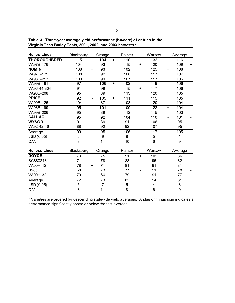| <b>Hulled Lines</b>  | Blacksburg<br>Orange |                              |        |                          | Painter |           | Warsaw         | Average                  |             |     |  |
|----------------------|----------------------|------------------------------|--------|--------------------------|---------|-----------|----------------|--------------------------|-------------|-----|--|
| <b>THOROUGHBRED</b>  | 115                  | $+$                          | 104    | $+$                      | 110     |           | 132            | $+$                      | 116         | $+$ |  |
| VA97B-176            | 104                  |                              | 93     |                          | 115     | $\ddot{}$ | 120            |                          | 109         | $+$ |  |
| <b>NOMINI</b>        | 108                  | $\ddot{}$                    | 93     |                          | 102     |           | 125            | $\ddot{}$                | 108         |     |  |
| VA97B-175            | 108                  | $\ddot{}$                    | 92     |                          | 108     |           | 117            |                          | 107         |     |  |
| VA98B-213            | 100                  |                              | 99     |                          | 107     |           | 117            |                          | 106         |     |  |
| VA99B-161            | 97                   |                              | 106    | $\ddot{}$                | 102     |           | 119            |                          | 106         |     |  |
| VA96-44-304          | 91                   |                              | 99     |                          | 115     | $\ddot{}$ | 117            |                          | 106         |     |  |
| VA98B-208            | 95                   |                              | 89     |                          | 113     |           | 120            |                          | 105         |     |  |
| <b>PRICE</b>         | 92                   |                              | 105    | $\ddot{}$                | 111     |           | 115            |                          | 105         |     |  |
| VA99B-125            | 104                  |                              | 87     |                          | 103     |           | 120            |                          | 104         |     |  |
| VA98B-199            | 95                   |                              | 101    |                          | 100     |           | 122            | $+$                      | 104         |     |  |
| VA99B-206            | 95                   |                              | 89     |                          | 112     |           | 115            |                          | 103         |     |  |
| <b>CALLAO</b>        | 95                   |                              | 92     |                          | 104     |           | 110            | $\overline{\phantom{a}}$ | 101         |     |  |
| <b>WYSOR</b>         | 91                   | $\qquad \qquad \blacksquare$ | 89     |                          | 91      |           | 106            |                          | 95          |     |  |
| VA92-42-46           | 88                   | $\overline{\phantom{a}}$     | 92     |                          | 92      |           | 107            |                          | 95          |     |  |
| Average              | 99                   |                              | 95     |                          | 106     |           | 117            |                          | 105         |     |  |
| LSD(0.05)            | 6                    |                              | 9      |                          | 8       |           | 5              |                          | 4           |     |  |
| C.V.                 | 8                    |                              | 11     |                          | 10      |           | $6\phantom{1}$ |                          | 9           |     |  |
| <b>Hulless Lines</b> | Blacksburg           |                              | Orange |                          | Painter |           | Warsaw         |                          | Average     |     |  |
| <b>DOYCE</b>         | 73                   |                              | 75     |                          | 91      | $+$       | 102            | $+$                      | 86          | $+$ |  |
| SC880248             | 71                   |                              | 78     |                          | 83      |           | 95             |                          | 82          |     |  |
| VA00H-12             | 78                   | $\ddot{}$                    | 71     |                          | 81      |           | 91             |                          | 81          |     |  |
| H585                 | 68                   |                              | 73     |                          | 77      |           | 91             |                          | 78          |     |  |
| <b>VA00H-32</b>      | 70                   |                              | 66     | $\overline{\phantom{0}}$ | 79      |           | 91             |                          | 77          |     |  |
| Average              | 72                   |                              | 73     |                          | 82      |           | 94             |                          | 81          |     |  |
| LSD (0.05)           | 5                    |                              | 7      |                          | 5       |           | 4              |                          | $\mathsf 3$ |     |  |
| C.V.                 | 8                    |                              | 11     |                          | 8       |           | $\,6$          |                          | 9           |     |  |

**Table 3. Three-year average yield performance (bu/acre) of entries in the Virginia Tech Barley Tests, 2001, 2002, and 2003 harvests.\***

\* Varieties are ordered by descending statewide yield averages. A plus or minus sign indicates a performance significantly above or below the test average.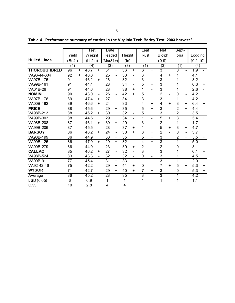| Table 4. Performance summary of entries in the Virginia Tech Barley Test, 2003 harvest.* |  |  |
|------------------------------------------------------------------------------------------|--|--|
|                                                                                          |  |  |

|                     |                                | Test                   | Date                 |                                    | Leaf                                                                                                                                                             | <b>Net</b>                                 | Sept-                                       |                  |
|---------------------|--------------------------------|------------------------|----------------------|------------------------------------|------------------------------------------------------------------------------------------------------------------------------------------------------------------|--------------------------------------------|---------------------------------------------|------------------|
|                     | Yield                          | W eight                | Headed               | Height                             | Rust                                                                                                                                                             | <b>Blotch</b>                              | oria                                        | Lodging          |
| <b>Hulled Lines</b> | (Bu/a)                         | (Lb/bu)                | $(Mar31+)$           | (ln)                               |                                                                                                                                                                  | $(0-9)$                                    |                                             | $(0.2 - 10)$     |
|                     | (4)                            | (4)                    | (3)                  | (3)                                | (1)                                                                                                                                                              | (3)                                        | (1)                                         | (4)              |
| <b>THOROUGHBRED</b> | 96<br>$+$                      | 46.7<br>$+$            | 31<br>$+$            | 36<br>$+$                          | $\overline{6}$<br>$+$                                                                                                                                            | 3                                          | $\overline{0}$                              | 1.9              |
| VA96-44-304         | 92<br>$+$                      | 46.0                   | 25<br>$\blacksquare$ | 33<br>$\qquad \qquad \blacksquare$ | 3                                                                                                                                                                | 4<br>$\ddot{}$                             |                                             | 4.1              |
| VA97B-175           | 91                             | 46.2<br>$\ddot{}$      | 26                   | 32<br>$\blacksquare$               | 3                                                                                                                                                                | 3                                          |                                             | 3.2              |
| VA99B-161           | 91                             | 44.4                   | 28                   | 34<br>$\qquad \qquad -$            | 5<br>÷.                                                                                                                                                          | 3                                          |                                             | 6.3<br>$+$       |
| VA01B-26            | 91                             | 44.6                   | 28                   | 38<br>$\ddot{}$                    | 1<br>$\blacksquare$                                                                                                                                              | 3                                          | 1                                           | 2.6              |
| <b>NOMINI</b>       | $\overline{90}$                | 43.0<br>$\blacksquare$ | 26<br>$\blacksquare$ | 42<br>$+$                          | 5<br>$+$                                                                                                                                                         | $\overline{2}$<br>$\overline{\phantom{0}}$ | $\overline{0}$<br>$\blacksquare$            | $\overline{4.2}$ |
| VA97B-176           | 89                             | 47.4<br>$\ddot{}$      | 27<br>$\blacksquare$ | 34<br>$\blacksquare$               | 3                                                                                                                                                                | 3                                          | 1                                           | 4.2              |
| VA00B-182           | 89                             | 46.6<br>$\ddot{}$      | 24<br>$\blacksquare$ | 33<br>$\overline{\phantom{0}}$     | $\overline{\mathbf{4}}$<br>÷.                                                                                                                                    | 4<br>$\ddot{}$                             | 3<br>+                                      | 6.4<br>$+$       |
| <b>PRICE</b>        | 88                             | 45.6                   | 29<br>$\ddot{}$      | 35                                 | 5<br>$\ddot{}$                                                                                                                                                   | 3                                          | $\overline{2}$<br>+                         | 4.4              |
| VA98B-213           | 88                             | 46.2<br>$\ddot{}$      | 30<br>$\ddot{}$      | 32<br>$\blacksquare$               | 5<br>$\ddot{}$                                                                                                                                                   | 3                                          | $\overline{2}$<br>$\ddot{}$                 | 3.5              |
| VA99B-303           | 88                             | 44.6                   | 29<br>$+$            | 34<br>$\overline{\phantom{0}}$     | 1<br>$\blacksquare$                                                                                                                                              | $\overline{5}$<br>$\ddot{}$                | $\overline{3}$<br>$+$                       | 5.4<br>$+$       |
| VA98B-208           | 87                             | 46.1<br>$\ddot{}$      | 30<br>$+$            | 29<br>$\overline{\phantom{a}}$     | 3                                                                                                                                                                | $\overline{2}$<br>-                        | 1                                           | 1.7              |
| VA99B-206           | 87                             | 45.5                   | 28                   | 37<br>÷                            | 1<br>$\overline{\phantom{a}}$                                                                                                                                    | 5<br>$\ddot{}$                             | 3<br>+                                      | 4.7              |
| <b>BARSOY</b>       | 86                             | 46.2<br>+              | 24<br>$\blacksquare$ | 38<br>+                            | 8<br>÷.                                                                                                                                                          | $\overline{2}$                             | $\mathbf 0$<br>$\qquad \qquad \blacksquare$ | 3.7              |
| VA98B-199           | 86                             | 44.9                   | 30<br>+              | 35                                 | 5<br>+                                                                                                                                                           | 3                                          | $\overline{2}$<br>+                         | 5.5<br>$+$       |
| VA99B-125           | 86                             | 47.0<br>$+$            | 29<br>$+$            | 32<br>$\overline{\phantom{a}}$     | $\overline{\mathbf{4}}$<br>$+$                                                                                                                                   | $\overline{3}$                             | 1                                           | 5.0              |
| VA00B-279           | 86                             | 44.0<br>$\blacksquare$ | 23<br>$\blacksquare$ | 39<br>+                            | $\overline{2}$                                                                                                                                                   | $\overline{c}$                             | $\mathbf 0$                                 | 3.1              |
| <b>CALLAO</b>       | 85                             | 46.2<br>+              | 27<br>$\blacksquare$ | 32<br>$\qquad \qquad -$            | 3                                                                                                                                                                | 3                                          | 1                                           | 6.1<br>$\ddot{}$ |
| VA98B-524           | 83                             | 43.3                   | 32<br>$\ddot{}$      | 32<br>$\overline{\phantom{a}}$     | $\mathbf 0$<br>$\hskip1.6pt\hskip1.6pt\hskip1.6pt\hskip1.6pt\hskip1.6pt\hskip1.6pt\hskip1.6pt\hskip1.6pt\hskip1.6pt\hskip1.6pt\hskip1.6pt\hskip1.6pt\hskip1.6pt$ | 3                                          |                                             | 4.5              |
| <b>VA00B-91</b>     | 77<br>$\overline{\phantom{0}}$ | 45.4                   | 31<br>$+$            | 33<br>$\blacksquare$               | 1<br>$\blacksquare$                                                                                                                                              | 3                                          | 1                                           | 2.0              |
| VA92-42-46          | 75                             | 42.2<br>$\blacksquare$ | 29<br>$\ddot{}$      | 41<br>÷                            | $\mathbf 0$<br>$\blacksquare$                                                                                                                                    | $\overline{7}$<br>$\ddot{}$                | 5<br>$\ddot{}$                              | 5.3<br>$+$       |
| <b>WYSOR</b>        | 71                             | 42.7                   | 29<br>$+$            | 40<br>÷.                           | $\overline{7}$<br>÷.                                                                                                                                             | 3                                          | $\mathbf 0$<br>$\blacksquare$               | 5.3<br>$\ddot{}$ |
| Average             | 86                             | 45.2                   | $\overline{28}$      | $\overline{35}$                    | $\overline{3}$                                                                                                                                                   | $\overline{3}$                             | 1                                           | 4.2              |
| LSD (0.05)          | 6                              | 0.9                    | 1                    | 1                                  | 1                                                                                                                                                                | 1                                          | 1                                           | 1.1              |
| C.V.                | 10                             | 2.8                    | 4                    | 4                                  |                                                                                                                                                                  |                                            |                                             |                  |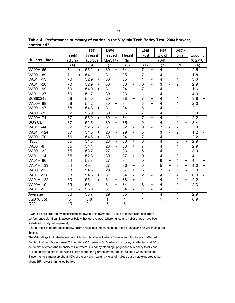|                      |                                    | Test    |                          |                 | Date                     |                 |                          | Leaf           |                          | <b>Net</b>                |     | Sept-          |                              |              |           |
|----------------------|------------------------------------|---------|--------------------------|-----------------|--------------------------|-----------------|--------------------------|----------------|--------------------------|---------------------------|-----|----------------|------------------------------|--------------|-----------|
|                      | Yield                              | W eight |                          | Headed          |                          | Height          |                          | Rust           |                          | <b>Blotch</b>             |     | oria           |                              | Lodging      |           |
| <b>Hulless Lines</b> | (Bu/a)                             | (Lb/bu) |                          | $(Mar31+)$      |                          | (ln)            |                          |                |                          | $(0-9)$                   |     |                |                              | $(0.2 - 10)$ |           |
|                      | (4)                                | (4)     |                          | (3)             |                          | (3)             |                          | (1)            |                          | (3)                       |     | (1)            |                              | (4)          |           |
| <b>VA00H-65</b>      | 71<br>$+$                          | 55.2    | $+$                      | 30              | $+$                      | 34              |                          |                | $+$                      | 4                         |     | $\overline{0}$ |                              | 2.5          |           |
| VA00H-89             | 71<br>$+$                          | 54.1    |                          | 31              | $\ddot{}$                | 35              |                          | 7              | +                        | 4                         |     | 1              |                              | 1.8          |           |
| VA01H-13             | 70                                 | 52.9    | $\overline{\phantom{a}}$ | 30              | $\ddot{}$                | 35              |                          | 1              | $\overline{\phantom{0}}$ | 4                         |     | 1              |                              | 3.6          |           |
| VA01H-26             | 70                                 | 52.9    | $\overline{\phantom{0}}$ | 30              | $\ddot{}$                | 33              | $\overline{\phantom{0}}$ | $\mathbf 0$    | $\overline{\phantom{0}}$ | 3                         |     | $\overline{2}$ | $\ddot{}$                    | 2.9          |           |
| VA00H-99             | 69                                 | 54.9    | +                        | 31              | $\ddot{}$                | 34              |                          | $\overline{7}$ | $\ddot{}$                | $\overline{\mathbf{4}}$   |     | 1              |                              | 1.6          |           |
| VA01H-37             | 69                                 | 51.7    | $\blacksquare$           | 30              | $+$                      | 33              | $\overline{a}$           | 1              | $\overline{a}$           | $\overline{4}$            |     | 1              |                              | 4.3          | $+$       |
| SC880248             | 68                                 | 54.0    |                          | 29              |                          | 38              | $\ddot{}$                | $\overline{7}$ | $\ddot{}$                | $\overline{4}$            |     | 1              |                              | 3.8          | $+$       |
| <b>VA00H-88</b>      | 68                                 | 54.2    |                          | 30              | +                        | 34              | $\overline{\phantom{0}}$ | 6              | +                        | $\overline{4}$            |     | 1              |                              | 2.3          |           |
| VA00H-97             | 68                                 | 54.8    | $\ddot{}$                | 31              | $\ddot{}$                | 34              | $\overline{a}$           | 6              | $\ddot{}$                | $\overline{4}$            |     | 1              |                              | 2.1          |           |
| <b>VA00H-72</b>      | 67                                 | 53.9    |                          | 30              | +                        | 35              |                          | 7              | $\ddot{}$                | 4                         |     | 1              |                              | 3.0          |           |
| <b>VA00H-74</b>      | 67                                 | 55.0    | $\ddot{}$                | 30              | $+$                      | 34              | $\overline{\phantom{a}}$ | $\overline{7}$ | $+$                      | $\overline{4}$            |     | $\overline{1}$ |                              | 2.2          |           |
| <b>DOYCE</b>         | 67                                 | 52.5    | $\overline{\phantom{a}}$ | 30              | +                        | 35              |                          | $\mathbf 0$    | $\overline{\phantom{a}}$ | 4                         |     | $\mathbf 2$    | +                            | 3.4          |           |
| VA01H-44             | 67                                 | 52.5    | $\overline{\phantom{0}}$ | 31              | $\ddot{}$                | 32              |                          | $\pmb{0}$      | $\overline{\phantom{0}}$ | $\ensuremath{\mathsf{3}}$ |     | $\overline{2}$ | $\ddot{}$                    | 3.3          |           |
| VA01H-124            | 67                                 | 54.5    | $\ddot{}$                | 28              | $\blacksquare$           | 29              | $\overline{\phantom{0}}$ | 5              | $\ddot{}$                | 3                         |     | $\overline{2}$ | $+$                          | 1.2          |           |
| VA00H-70             | 66                                 | 54.6    | $\ddot{}$                | 30              | +                        | 34              | $\overline{\phantom{a}}$ | $\overline{7}$ | +                        | 4                         |     | 1              |                              | 2.2          |           |
| H <sub>585</sub>     | 65                                 | 54.3    |                          | 28              | $\blacksquare$           | 36              | $\ddot{}$                | 8              | $\overline{+}$           | $\overline{4}$            |     | $\overline{0}$ | $\blacksquare$               | 2.9          |           |
| <b>VA00H-8</b>       | 65                                 | 54.4    |                          | 28              | $\overline{\phantom{0}}$ | 36              | $\ddot{}$                | $\overline{7}$ | $\ddot{}$                | 4                         |     | 1              |                              | 2.9          |           |
| VA00H-32             | 65                                 | 53.7    |                          | 27              | $\blacksquare$           | 33              | $\overline{\phantom{a}}$ | 5              | $\ddot{}$                | $\overline{\mathbf{4}}$   |     | 1              |                              | 3.0          |           |
| VA01H-14             | 65                                 | 52.8    | $\overline{\phantom{a}}$ | 30              | $\ddot{}$                | 37              | $\ddot{}$                | $\mathbf 0$    | $\qquad \qquad -$        | $\overline{4}$            |     | $\overline{2}$ | $\ddot{}$                    | 4.1          | +         |
| VA01H-96             | 64                                 | 53.3    |                          | 27              | $\overline{\phantom{a}}$ | 34              | $\overline{\phantom{a}}$ | $\pmb{0}$      | $\blacksquare$           | 6                         | +   | 4              | $\ddot{}$                    | 4.1          | $\ddot{}$ |
| VA01H-133            | 64                                 | 49.4    | $\overline{a}$           | $\overline{27}$ | $\overline{a}$           | $\overline{36}$ | $+$                      | $\overline{0}$ | $\overline{a}$           | $\overline{5}$            | $+$ | $\overline{3}$ | $\ddot{}$                    | 4.0          | $+$       |
| VA00H-12             | 63                                 | 54.3    |                          | 29              |                          | 37              | $\ddot{}$                | 6              | $\ddot{}$                | 3                         |     | $\mathbf 0$    | $\qquad \qquad \blacksquare$ | 5.0          | $+$       |
| VA01H-128            | 63                                 | 54.5    | +                        | 31              | +                        | 34              | $\blacksquare$           | $\overline{2}$ | $\overline{\phantom{a}}$ | $\overline{4}$            |     | $\overline{2}$ | +                            | 0.9          |           |
| VA01H-122            | 60<br>$\qquad \qquad \blacksquare$ | 55.4    | $\ddot{}$                | 31              | +                        | 38              | +                        | 1              | $\overline{\phantom{a}}$ | 4                         |     | $\overline{2}$ | $\ddot{}$                    | 2.2          |           |
| VA00H-10             | 59                                 | 53.4    |                          | 31              | $+$                      | 34              | $\overline{a}$           | 6              | $\ddot{}$                | 4                         |     | $\mathbf 0$    | $\overline{a}$               | 2.3          |           |
| <b>VA01H-5</b>       | 59                                 | 53.0    |                          | 31              | $\ddot{}$                | 34              | $\overline{\phantom{a}}$ | 1              | $\blacksquare$           | 4                         |     | 1              |                              | 2.7          |           |
| Average              | 66                                 | 53.7    |                          | 29              |                          | $\overline{35}$ |                          | 4              |                          | $\overline{4}$            |     | 1              |                              | 2.9          |           |
| LSD (0.05)           | 5                                  | 0.8     |                          | 1               |                          | 1               |                          | 1              |                          | 1                         |     | 1              |                              | 0.9          |           |
| C.V.                 | 10                                 | 2.1     |                          | 3               |                          | 3               |                          |                |                          |                           |     |                |                              |              |           |

Table 4. Performance summary of entries in the Virginia Tech Barley Test, 2003 harvest, continued.\*

\* Varieties are ordered by descending statewide yield averages. A plus or minus sign indicates a performance significantly above or below the test average, where hulled and hulless lines have been statistically analyzed separately.

The number in parentheses below column headings indicates the number of locations on which data are based.

The 0-9 ratings indicate degree to which plant is affected, where 0=none and 9=total plant affected. Belgian Lodging Scale = Area X Intensity X 0.2. Area = 1-10, where 1 is barley unaffected and 10 is entire plot affected and Intensity = 1-5, where 1 is barley standing upright and 5 is barley totally flat. Hulless barley is similar to hulled barley except the glumes thrash free of the seed when combined. Since the hulls make up about 15% of the dry grain weight, yields of hulless barley are expected to be about 15% lower than hulled barley.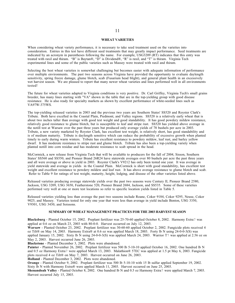#### **WHEAT VARIETIES**

When considering wheat variety performance, it is necessary to take seed treatment used on the varieties into consideration. Entries in this test have different seed treatments that may greatly impact performance. Seed treatments are indicated by an acronym in parentheses following the name. For example, USG3209 (RT) indicates that this entry was treated with raxil and thiram. "B" is Baytan®, "D" is Dividend®, "R" is raxil, and "T" is thiram. Virginia Tech experimental lines and some of the public varieties such as Massey were treated with raxil and thiram.

Selecting the best wheat varieties is somewhat challenging but becomes easier with adequate information of performance over multiple environments. The past two seasons across Virginia have provided the opportunity to evaluate daylength sensitivity, spring freeze damage, glume blotch, scab (Fusarium head blight), and general plant health in an excessively wet harvest season. We are pleased to report that many newer wheat varieties and lines performed well in all environments tested!

The future for wheat varieties adapted to Virginia conditions is very positive. Dr. Carl Griffey, Virginia Tech's small grains breeder, has many lines starting with "VA" shown in the table that are in the top-yielding group with good disease resistance. He is also ready for specialty markets as shown by excellent performance of white-seeded lines such as VA97W-375WS.

The top-yielding released varieties in 2003 and the previous two years are Southern States' SS520 and Royster Clark's Tribute. Both have excelled in the Coastal Plain, Piedmont, and Valley regions. SS520 is a relatively early wheat that is about two inches taller than average with good test weight and good standability. It has good powdery mildew resistance, relatively good resistance to glume blotch, but is susceptible to leaf and stripe rust. SS520 has yielded above average in the notill test at Warsaw over the past three years but produced only average yields of 78 bushels per acre in 2003. Tribute, a new variety marketed by Royster Clark, has excellent test weight, is relatively short, has good standability and is of medium maturity. Tribute is daylength sensitive which can reduce the probability of excessive growth when planted timely to early during warm winters. Tribute has excellent resistance to powdery mildew, leaf rust, and barley yellow dwarf. It has moderate resistance to stripe rust and glume blotch. Tribute has also been a top-yielding variety when planted notill into corn residue and has moderate resistance to scab spread in the head.

McCormick, a new release from Virginia Tech that will be available to producers for the fall of 2004, Sisson, Southern States' SS560 and SS550, and Pioneer Brand 26R24 have statewide averages over 80 bushels per acre the past three years and all were average or above in yield in 2003. Royster Clark's V9212 has only been tested one year. It was average in yield statewide and average in yields in the Coastal Plain. McCormick is short with good standability, has excellent test weight and excellent resistance to powdery mildew and leaf rust. It has above average resistance to glume blotch and scab. Refer to Table 9 for ratings of test weight, maturity, height, lodging, and disease of the other varieties listed above.

Released varieties producing average statewide yields over the past two seasons were Century II, Pioneer Brand 2580, Jackson, USG 3209, USG 3650, Featherstone 520, Pioneer Brand 2684, Jackson, and SS535. Some of these varieties performed very well at one or more test locations so refer to specific location yields listed in Table 5.

Released varieties yielding less than average the past two seasons include Roane, Coker 9184, Coker 9295, Neuse, Coker 9025, and Massey. Varieties tested for only one year that were less than average in yield include Benton, USG 3350, V9301, USG 3430, and Soissons.

#### **SUMMARY OF WHEAT MANAGEMENT PRACTICES FOR THE 2003 HARVEST SEASON**

**Blacksburg** - Planted October 15, 2002. Preplant fertilizer was 25-70-60 applied October 8, 2002. Harmony Extra7 was applied at 0.6 oz on March 23, 2003 with 80-0-0. Harvest occurred on July 12, 2003.

**Warsaw** - Planted October 23, 2002. Preplant fertilizer was 30-60-60 applied October 2, 2002. Fungicide plots received 4 oz Tilt® on May 14, 2003. Harmony Extra® at 0.6 oz was applied March 18, 2003. Forty lb N using 24-0-0-3(S) was applied January 15, 2002. Sixty lb N using 24-0-0-3(S) was applied March 24, 2003. Warrior T7 was applied at 2.56 oz on May 2, 2003. Harvest occurred June 26, 2003.

**Blackstone** - Planted December 3, 2002. Plots were abandoned.

Painter - Planted November 26, 2002. Preplant fertilizer was 500 lb 5-10-10 applied October 16, 2002. One hundred lb N and 0.5 oz Harmony Extra7 were applied March 13, 2003. Malathion® 57EC was applied at 1.5 pt May 6, 2003. Fungicide plots received 4 oz Tilt® on May 7, 2003. Harvest occurred on June 26, 2003.

**Holland** - Planted December 3, 2002. Plots were abandoned.

**Orange** - Planted October 9, 2002. Preplant fertilizer was 500 lb 5-10-10 with 15 lb sulfur applied September 19, 2002. Sixty lb N with Harmony Extra® were applied March 11, 2003. Harvest occurred on June 25, 2003.

**Shenandoah Valley** - Planted October 8, 2002. One hundred lb N and 0.5 oz Harmony Extra7 were applied March 7, 2003. Harvest occurred July 15, 2003.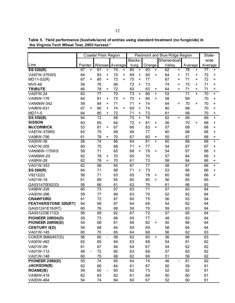**the Virginia Tech Wheat Test, 2003 harvest.\***

|                             | Coastal Plain Region |     |    |                          |                | Piedmont and Blue Ridge Region |         |           |                 |           |                 |           | State-  |           |         |           |
|-----------------------------|----------------------|-----|----|--------------------------|----------------|--------------------------------|---------|-----------|-----------------|-----------|-----------------|-----------|---------|-----------|---------|-----------|
|                             |                      |     |    |                          |                |                                | Blacks- |           |                 |           | Shenandoah      |           |         | wide      |         |           |
| Line                        | Painter              |     |    |                          | Warsaw Average |                                | burg    |           | Orange          |           | Valley          |           | Average |           | Average |           |
| SS 520(R)                   | 67                   | $+$ | 81 | $\ddot{}$                | 74             | $\bf +$                        | 80      | $+$       | 93              | $+$       | 62              | $+$       | 78      | $\ddot{}$ | 77      | +         |
| VA97W-375WS                 | 64                   |     | 83 | +                        | 74             | +                              | 69      | $\ddot{}$ | 80              | +         | 64              | $\ddot{}$ | 71      | +         | 72      | +         |
| MD11-52(R)                  | 67                   | +   | 80 | $\ddot{}$                | 73             | $\ddot{}$                      | 70      | $\ddot{}$ | 77              |           | 67              | $\ddot{}$ | 71      | $\ddot{}$ | 72      | $\ddot{}$ |
| MV5-46                      | 59                   |     | 76 |                          | 68             |                                | 72      | $\ddot{}$ | 73              |           | 74              | +         | 73      | $\ddot{}$ | 71      | $\ddot{}$ |
| <b>TRIBUTE</b>              | 66                   |     | 78 | +                        | 72             |                                | 65      |           | 83              | +         | 64              | $\ddot{}$ | 71      | $\ddot{}$ | 71      | $\ddot{}$ |
| VA97W-24                    | 63                   |     | 77 |                          | 70             |                                | 73      | +         | 86              | $+$       | 53              |           | 71      | $+$       | 70      | $\ddot{}$ |
| VA99W-176                   | 64                   |     | 81 | +                        | 73             | +                              | 70      | +         | 80              | +         | 58              |           | 69      |           | 70      | $\ddot{}$ |
| VAN98W-342                  | 59                   |     | 84 | +                        | 71             |                                | 71      | +         | 74              |           | 64              | $\ddot{}$ | 70      | $\ddot{}$ | 70      | $\ddot{}$ |
| VA98W-631                   | 67                   | +   | 80 | +                        | 74             | +                              | 69      | +         | 74              |           | 60              |           | 68      |           | 70      | $\ddot{}$ |
| MD71-5                      | 64                   |     | 80 | +                        | 72             |                                | 71      | +         | 73              |           | 61              |           | 68      |           | 70      | +         |
| <b>SS 550(B)</b>            | 64                   |     | 72 |                          | 68             |                                | 70      | $\ddot{}$ | 76              |           | 62              | $\ddot{}$ | 69      |           | 69      | $\ddot{}$ |
| <b>SISSON</b>               | 63                   |     | 65 |                          | 64             |                                | 72      | $\ddot{}$ | 81              | $\ddot{}$ | 56              |           | 70      | $\ddot{}$ | 68      | +         |
| <b>McCORMICK</b>            | 53                   |     | 81 | $\ddot{}$                | 67             |                                | 66      |           | 83              | $\ddot{}$ | 57              |           | 69      |           | 68      | +         |
| VA97W-375RS                 | 63                   |     | 75 |                          | 69             |                                | 66      |           | 77              |           | 60              |           | 68      |           | 68      | $\ddot{}$ |
| VA98W-706                   | 61                   |     | 78 | +                        | 70             |                                | 67      |           | 80              | +         | 55              |           | 67      |           | 68      | +         |
| VA00W-38                    | 58                   |     | 74 |                          | 66             |                                | 64      |           | 81              | $\ddot{}$ | 60              |           | 68      |           | 68      | $\ddot{}$ |
| VA01W-205                   | 60                   |     | 75 |                          | 68             |                                | 71      | +         | 77              |           | 54              |           | 67      |           | 67      | $\ddot{}$ |
| <b>VAN98W-170WS</b>         | 59                   |     | 71 |                          | 65             |                                | 68      | $+$       | 79              | $\ddot{}$ | 54              |           | 67      |           | 66      | $\ddot{}$ |
| VAN99W-20                   | 62                   |     | 78 | +                        | 70             |                                | 65      |           | 70              |           | 57              |           | 64      |           | 66      | $\ddot{}$ |
| VA99W-28                    | 62                   |     | 78 | $\ddot{}$                | 70             |                                | 61      |           | 73              |           | 58              |           | 64      |           | 66      | +         |
| VA01W-353                   | 62                   |     | 68 |                          | 65             |                                | 67      |           | 77              |           | 58              |           | 67      |           | 66      | $\ddot{}$ |
| SS 560(R)                   | 64                   |     | 71 |                          | 68             |                                | 71      | +         | 73              |           | 53              |           | 66      |           | 66      | $\ddot{}$ |
| V9212(D)                    | 56                   |     | 71 |                          | 63             |                                | 65      |           | 78              | +         | 60              |           | 68      |           | 66      | $\ddot{}$ |
| VA01W-18                    | 61                   |     | 69 |                          | 65             |                                | 60      |           | 80              | $\ddot{}$ | 56              |           | 65      |           | 65      |           |
| GA931470E62(D)              | 56                   |     | 66 |                          | 61             |                                | 62      |           | 76              |           | 61              |           | 66      |           | 65      |           |
| VA98W-335                   | 60                   |     | 73 |                          | 67             |                                | 63      |           | 71              |           | $\overline{57}$ |           | 63      |           | 64      |           |
| VA00W-286                   | 59                   |     | 77 |                          | 68             |                                | 63      |           | 70              |           | 52              |           | 62      |           | 64      |           |
| <b>CRAWFORD</b>             | 61                   |     | 72 |                          | 67             |                                | 60      |           | 75              |           | 56              |           | 63      |           | 64      |           |
| <b>FEATHERSTONE 520(RT)</b> | 64                   |     | 69 |                          | 67             |                                | 64      |           | 69              |           | 54              |           | 62      |           | 64      |           |
| GA931241E16(RT)             | 60                   |     | 76 |                          | 68             |                                | 59      |           | 70              |           | 59              |           | 63      |           | 64      |           |
| GA931233E17(D)              | 56                   |     | 69 |                          | 62             |                                | 67      |           | $\overline{72}$ |           | $\overline{57}$ |           | 65      |           | 64      |           |
| PIONEER 26R24(D)            | 59                   |     | 73 |                          | 66             |                                | 65      |           | 77              |           | 48              |           | 63      |           | 64      |           |
| PIONEER 26R58(D)            | 54                   |     | 68 |                          | 61             |                                | 66      |           | 82              | +         | 50              |           | 66      |           | 64      |           |
| <b>CENTURY II(D)</b>        | 59                   |     | 68 |                          | 64             |                                | 65      |           | 69              |           | 58              |           | 64      |           | 64      |           |
| VA01W-145                   | 60                   |     | 70 |                          | 65             |                                | 64      |           | 68              |           | 56              |           | 62      |           | 63      |           |
| <b>COKER B960457(D)</b>     | 56                   |     | 60 | $\overline{\phantom{0}}$ | 58             |                                | 62      |           | 80              | $+$       | 56              |           | 66      |           | 63      |           |
| VA00W-462                   | 62                   |     | 65 |                          | 64             |                                | 63      |           | 68              |           | 54              |           | 61      |           | 62      |           |
| VA01W-99                    | 61                   |     | 67 |                          | 64             |                                | 64      |           | 67              |           | 54              |           | 62      |           | 62      |           |
| VA01W-112                   | 48                   |     | 72 |                          | 60             |                                | 63      |           | 69              |           | 57              |           | 63      |           | 62      |           |
| VA01W-148                   | 60                   |     | 75 |                          | 68             |                                | 62      |           | 66              |           | 51              |           | 59      |           | 62      |           |
| <b>PIONEER 2580(D)</b>      | 55                   |     | 74 |                          | 65             |                                | 64      |           | 74              |           | 46              |           | 61      |           | 62      |           |
| <b>JACKSON(B)</b>           | 62                   |     | 66 |                          | 64             |                                | 61      |           | 67              |           | 50              |           | 59      |           | 61      |           |
| <b>ROANE(B)</b>             | 59                   |     | 60 |                          | 60             |                                | 62      |           | 73              |           | 52              |           | 62      |           | 61      |           |
| VA99W-419                   | 62                   |     | 63 |                          | 62             |                                | 61      |           | 69              |           | 50              |           | 60      |           | 61      |           |
| VA00W-464                   | 54                   |     | 74 |                          | 64             |                                | 60      |           | 67              |           | 52              |           | 60      |           | 61      |           |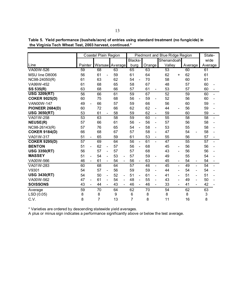**Table 5. Yield performance (bushels/acre) of entries using standard treatment (no fungicide) in the Virginia Tech Wheat Test, 2003 harvest, continued.\***

|                        |                                | Coastal Plain Region           |                                | Piedmont and Blue Ridge Region | State-                             |                                    |                                |                           |
|------------------------|--------------------------------|--------------------------------|--------------------------------|--------------------------------|------------------------------------|------------------------------------|--------------------------------|---------------------------|
|                        |                                |                                |                                | Blacks-                        |                                    | Shenandoah                         |                                | wide                      |
| Line                   | Painter                        |                                | Warsaw Average                 | burg                           | Orange                             | Valley                             | Average                        | Average                   |
| VA00W-526              | 59                             | 68                             | 63                             | 65                             | 63                                 | 53                                 | 60                             | 61                        |
| MSU line D8006         | 56                             | 61                             | 59                             | 61                             | 64                                 | 62<br>+                            | 62                             | 61                        |
| NC98-24050(R)          | 61                             | 63                             | 62                             | 54                             | 70                                 | 58                                 | 60                             | 61                        |
| VA99W-452              | 61                             | 68                             | 65                             | 58                             | 67                                 | 48                                 | 57                             | 60                        |
| SS 535(R)              | 63                             | 68                             | 66                             | 57                             | 61<br>$\overline{\phantom{a}}$     | 53                                 | 57                             | 60                        |
| <b>USG 3209(RT)</b>    | 56                             | 66                             | 61                             | 59                             | 67                                 | 52                                 | 59                             | 60                        |
| <b>COKER 9025(D)</b>   | 60                             | 75                             | 68                             | 56                             | 59<br>$\overline{\phantom{0}}$     | 52                                 | 56                             | 60                        |
| <b>VAN00W-147</b>      | 49<br>$\blacksquare$           | 66                             | 57                             | 59                             | 66                                 | 56                                 | 60                             | 59                        |
| <b>PIONEER 2684(D)</b> | 60                             | 72                             | 66                             | 62                             | 62<br>$\qquad \qquad -$            | 44                                 | 56                             | 59                        |
| <b>USG 3650(RT)</b>    | 53                             | 61                             | 58                             | 59                             | 62<br>$\qquad \qquad \blacksquare$ | 59                                 | 60                             | 59                        |
| VA01W-258              | 53                             | 63                             | 58                             | 59                             | 60<br>$\overline{\phantom{0}}$     | 55                                 | 58                             | 58                        |
| <b>NEUSE(R)</b>        | 57                             | 66                             | 61                             | 56<br>$\overline{\phantom{0}}$ | 56<br>$\overline{\phantom{0}}$     | 57                                 | 56                             | 58                        |
| NC98-26143(R)          | 57                             | 76                             | 65                             | 54                             | 58<br>$\qquad \qquad \blacksquare$ | 53                                 | 55                             | 58                        |
| <b>COKER 9184(D)</b>   | 66                             | 68                             | 67                             | 57                             | 58<br>$\overline{\phantom{0}}$     | 47                                 | 54                             | 58                        |
| VA01W-317              | 51<br>$\overline{\phantom{a}}$ | 65                             | 59                             | 61                             | 53<br>$\overline{\phantom{a}}$     | 55                                 | 56                             | 57                        |
| <b>COKER 9295(D)</b>   | 57                             | 69                             | 64                             | 56<br>$\blacksquare$           | 61<br>$\overline{a}$               | 47                                 | 55                             | 57                        |
| <b>BENTON</b>          | 51                             | 62<br>$\overline{\phantom{0}}$ | 57                             | 56                             | 68                                 | 45                                 | 56                             | 56                        |
| <b>USG 3350(RT)</b>    | 56                             | 57<br>$\overline{a}$           | 57                             | 57                             | 68                                 | 43<br>$\overline{\phantom{0}}$     | 56                             | 56                        |
| <b>MASSEY</b>          | 51<br>$\overline{\phantom{a}}$ | 54<br>$\overline{\phantom{a}}$ | 53<br>$\overline{\phantom{a}}$ | 57                             | 59<br>$\qquad \qquad \blacksquare$ | 49                                 | 55                             | 54                        |
| VA00W-566              | 46<br>$\overline{\phantom{0}}$ | 61<br>$\overline{\phantom{a}}$ | 54                             | 56<br>$\overline{\phantom{a}}$ | 63                                 | 45<br>$\overline{\phantom{a}}$     | 54<br>$\overline{\phantom{a}}$ | 54                        |
| VA01W-283              | 60                             | 68                             | 64                             | 57                             | 46<br>$\overline{\phantom{0}}$     | 45<br>$\overline{\phantom{0}}$     | 49<br>$\overline{\phantom{0}}$ | 54                        |
| V9301                  | 54                             | 57<br>$\overline{\phantom{0}}$ | 56                             | 59                             | 59<br>$\overline{\phantom{0}}$     | 44<br>$\qquad \qquad \blacksquare$ | 54<br>$\overline{\phantom{a}}$ | 54                        |
| <b>USG 3430(RT)</b>    | 54                             | 50<br>$\overline{\phantom{a}}$ | 52<br>$\overline{\phantom{a}}$ | 51                             | 61<br>$\overline{\phantom{0}}$     | 41<br>$\overline{\phantom{0}}$     | 51<br>$\overline{\phantom{a}}$ | 51                        |
| VA00W-562              | 47                             | 61<br>$\overline{a}$           | 54<br>$\overline{\phantom{a}}$ | 48<br>$\blacksquare$           | 55<br>$\qquad \qquad \blacksquare$ | 43                                 | 49                             | 50                        |
| <b>SOISSONS</b>        | 43<br>$\overline{\phantom{0}}$ | 44<br>$\overline{a}$           | 43                             | 46<br>$\blacksquare$           | 46<br>$\overline{\phantom{0}}$     | 33                                 | 41                             | 42                        |
| Average                | 59                             | 70                             | 64                             | 62                             | 70                                 | 54                                 | 62                             | 63                        |
| LSD (0.05)             | 8                              | 8                              | 9                              | 6                              | 8                                  | 8                                  | 8                              | $\ensuremath{\mathsf{3}}$ |
| C.V.                   | 8                              | 7                              | 13                             | 7                              | 8                                  | 11                                 | 16                             | 8                         |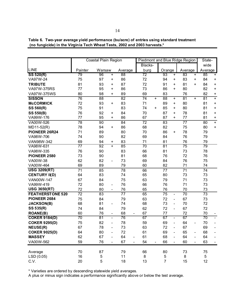|  |                                                                           | Table 6. Two-year average yield performance (bu/acre) of entries using standard treatment |
|--|---------------------------------------------------------------------------|-------------------------------------------------------------------------------------------|
|  | (no fungicide) in the Virginia Tech Wheat Tests, 2002 and 2003 harvests.* |                                                                                           |

|                         | Coastal Plain Region |                 |                              |                                | Piedmont and Blue Ridge Region |                |                 |                          |                 |                          | State-          |                                  |
|-------------------------|----------------------|-----------------|------------------------------|--------------------------------|--------------------------------|----------------|-----------------|--------------------------|-----------------|--------------------------|-----------------|----------------------------------|
|                         |                      |                 |                              |                                | Blacks-                        |                |                 |                          |                 |                          | wide            |                                  |
| LINE                    | Painter              | Warsaw          |                              | Average                        | burg                           |                | Orange          |                          | Average         |                          | Average         |                                  |
| SS 520(R)               | 79                   | 96              | $\ddot{}$                    | 88                             | 72                             |                | 93              | $\ddot{}$                | 83              | $\ddot{}$                | 85              | +                                |
| VA97W-24                | 75                   | 97              | +                            | 86                             | 72                             |                | 94              | +                        | 83              | +                        | 84              | +                                |
| <b>TRIBUTE</b>          | 81                   | 93              | +                            | 87                             | 72                             |                | 91              | $\ddot{}$                | 81              | $\ddot{}$                | 84              | +                                |
| VA97W-375RS             | 77                   | 95              | $\ddot{}$                    | 86                             | 73                             |                | 86              | $\ddot{}$                | 80              |                          | 82              | +                                |
| VA97W-375WS             | 80                   | 98              | $\ddot{}$                    | 89                             | 69                             |                | 83              |                          | 76              |                          | 82              | +                                |
| <b>SISSON</b>           | 76                   | 88              |                              | 82                             | 74                             | $\ddot{}$      | 88              | $\ddot{}$                | 81              | $\ddot{}$                | 81              | Ŧ                                |
| <b>McCORMICK</b>        | 72                   | 93              | +                            | 83                             | 71                             |                | 89              | +                        | 80              |                          | 81              | +                                |
| SS 560(R)               | 75                   | 91              |                              | 83                             | 74                             | $\ddot{}$      | 85              | +                        | 80              |                          | 81              | $\begin{array}{c} + \end{array}$ |
| <b>SS 550(B)</b>        | 76                   | 92              | +                            | 84                             | 70                             |                | 87              | +                        | 78              |                          | 81              | +                                |
| VA99W-176               | 77                   | 95              | +                            | 86                             | 67                             |                | 87              | +                        | 77              |                          | 81              | +                                |
| VA00W-526               | $\overline{78}$      | 90              |                              | 84                             | 72                             |                | 83              |                          | $\overline{77}$ |                          | 80              | $\ddot{}$                        |
| MD11-52(R)              | 78                   | 94              | +                            | 86                             | 68                             |                | 82              |                          | 75              |                          | 80              | +                                |
| PIONEER 26R24           | 71                   | 89              |                              | 80                             | 70                             |                | 86              | $\ddot{}$                | 78              |                          | 79              |                                  |
| VA98W-706               | 74                   | 90              |                              | 82                             | 69                             |                | 84              |                          | 76              |                          | 79              |                                  |
| VAN98W-342              | 69                   | 94              | +                            | 83                             | 71                             |                | 81              |                          | 76              |                          | 79              |                                  |
| VA98W-631               | $\overline{77}$      | $\overline{92}$ | $\ddot{}$                    | 85                             | $\overline{70}$                |                | $\overline{81}$ |                          | $\overline{75}$ |                          | $\overline{79}$ |                                  |
| VA98W-335               | 76                   | 90              |                              | 83                             | 66                             |                | 81              |                          | 73              |                          | 78              |                                  |
| <b>PIONEER 2580</b>     | 73                   | 90              |                              | 81                             | 68                             |                | 76              |                          | 72              |                          | 76              |                                  |
| VA00W-38                | 62                   | 82              |                              | 73                             | 69                             |                | 84              |                          | 76              |                          | 75              |                                  |
| VA00W-464               | 69                   | 89              |                              | 79                             | 60                             |                | 82              |                          | 71              |                          | 74              |                                  |
| <b>USG 3209(RT)</b>     | $\overline{71}$      | 85              |                              | $\overline{78}$                | 66                             |                | $\overline{77}$ |                          | $\overline{71}$ |                          | $\overline{74}$ |                                  |
| <b>CENTURY II(D)</b>    | 64                   | 83              |                              | 74                             | 65                             |                | 80              |                          | 73              |                          | 73              |                                  |
| <b>VAN00W-147</b>       | 67                   | 84              |                              | 75                             | 63                             |                | 79              |                          | 71              |                          | 73              |                                  |
| VA99W-419               | 72                   | 80              | $\overline{\phantom{a}}$     | 76                             | 66                             |                | 76              |                          | 71              |                          | 73              |                                  |
| <b>USG 3650(RT)</b>     | 72                   | 80              | $\overline{\phantom{0}}$     | 76                             | 65                             |                | 76              |                          | 70              |                          | 73              |                                  |
| <b>FEATHERSTONE 520</b> | $\overline{72}$      | 83              |                              | $\overline{77}$                | 65                             |                | $\overline{75}$ | $\overline{a}$           | $\overline{70}$ |                          | 73              |                                  |
| PIONEER 2684            | 75                   | 84              |                              | 79                             | 63                             |                | 72              | $\overline{\phantom{0}}$ | 67              |                          | 73              |                                  |
| <b>JACKSON(B)</b>       | 68                   | 81              | $\overline{\phantom{0}}$     | 74                             | 68                             |                | 73              | $\overline{a}$           | 70              |                          | 72              |                                  |
| SS 535(R)               | 74                   | 84              |                              | 79                             | 62                             |                | 72              | $\overline{\phantom{a}}$ | 67              |                          | 72              |                                  |
| <b>ROANE(B)</b>         | 60                   | 76              | $\hbox{--}$                  | 68<br>$\overline{\phantom{a}}$ | 67                             |                | 77              |                          | 72              |                          | 70              |                                  |
| <b>COKER 9184(D)</b>    | $\overline{70}$      | 81              | $\frac{1}{2}$                | 76                             | 67                             |                | 67              | $\overline{\phantom{0}}$ | 67              |                          | $\overline{70}$ | $\blacksquare$                   |
| <b>COKER 9295(D)</b>    | 75                   | 82              | $\frac{1}{2}$                | 78                             | 59                             |                | 69              | $\overline{\phantom{0}}$ | 64              |                          | 70              |                                  |
| <b>NEUSE(R)</b>         | 67                   | 78              |                              | 73                             | 63                             |                | 72              |                          | 67              |                          | 69              |                                  |
| <b>COKER 9025(D)</b>    | 64                   | 80              | $\qquad \qquad \blacksquare$ | 72                             | 61                             |                | 69              | $\overline{\phantom{a}}$ | 65              | -                        | 68              | $\overline{\phantom{a}}$         |
| <b>MASSEY</b>           | 62                   | 67              |                              | 64<br>$\overline{\phantom{0}}$ | 61                             |                | 68              | $\overline{\phantom{a}}$ | 64              | $\overline{\phantom{0}}$ | 64              | $\overline{\phantom{a}}$         |
| VA00W-562               | 59                   | 76              | $\qquad \qquad \blacksquare$ | 67                             | 54<br>$\overline{\phantom{a}}$ | $\blacksquare$ | 66              | $-$                      | 60              | $\overline{\phantom{0}}$ | 63              |                                  |
|                         |                      |                 |                              |                                |                                |                |                 |                          |                 |                          |                 |                                  |
| Average                 | 70                   | 87              |                              | 79                             | 66                             |                | 80              |                          | 73              |                          | 75              |                                  |
| LSD(0.05)               | 16                   | 5               |                              | 11                             | 8                              |                | 5               |                          | 8               |                          | 5               |                                  |
| C.V.                    | 20                   | 5               |                              | 18                             | 13                             |                | $\overline{7}$  |                          | 15              |                          | 12              |                                  |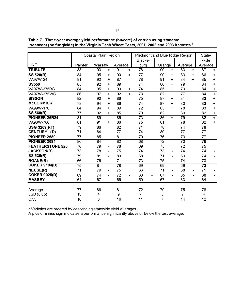|                         |                      | <b>Coastal Plain Region</b> |                          |                 |                              | Piedmont and Blue Ridge Region |                |                 |                              |                |                              | State-  |                          |
|-------------------------|----------------------|-----------------------------|--------------------------|-----------------|------------------------------|--------------------------------|----------------|-----------------|------------------------------|----------------|------------------------------|---------|--------------------------|
|                         |                      |                             |                          |                 |                              | Blacks-                        |                |                 |                              |                |                              | wide    |                          |
| LINE                    | Painter              | Warsaw                      |                          | Average         |                              | burg                           |                | Orange          |                              | Average        |                              | Average |                          |
| <b>TRIBUTE</b>          | 88                   | 93                          | $+$                      | 91              | $+$                          | 78                             |                | 90              | $\ddot{}$                    | 83             | $+$                          | 87      | $+$                      |
| SS 520(R)               | 84                   | 95                          | +                        | 90              | $\ddot{}$                    | 77                             |                | 90              | +                            | 83             | +                            | 86      | $\ddot{}$                |
| VA97W-24                | 81                   | 92                          | +                        | 87              |                              | 78                             |                | 91              | +                            | 84             | $\ddot{}$                    | 85      | $\ddot{}$                |
| <b>SS550</b>            | 85                   | 92                          | ÷.                       | 89              |                              | 74                             |                | 86              | ÷                            | 79             |                              | 84      | $\ddot{}$                |
| <b>VA97W-375RS</b>      | 84                   | 95                          | +                        | 90              | $\ddot{}$                    | 74                             |                | 85              | $\ddot{}$                    | 79             |                              | 84      | +                        |
| VA97W-375WS             | 86                   | 97                          | $+$                      | 92              | $+$                          | 73                             |                | 82              |                              | 77             |                              | 84      | $+$                      |
| <b>SISSON</b>           | 82                   | 90                          | +                        | 86              |                              | 75                             |                | 87              | +                            | 81             |                              | 83      | $\ddot{}$                |
| <b>McCORMICK</b>        | 78                   | 94                          | +                        | 86              |                              | 74                             |                | 87              | $\ddot{}$                    | 80             |                              | 83      | $\ddot{}$                |
| VA99W-176               | 84                   | 94                          | $\ddot{}$                | 89              |                              | 72                             |                | 85              | ÷                            | 78             |                              | 83      | $\ddot{}$                |
| SS 560(R)               | 77                   | 92                          | $\ddot{}$                | 85              |                              | 79                             | $\ddot{}$      | 82              |                              | 80             |                              | 82      | $\ddot{}$                |
| PIONEER 26R24           | 81                   | 89                          |                          | 85              |                              | 73                             |                | 86              | $\ddot{}$                    | 79             |                              | 82      | $+$                      |
| VA98W-706               | 81                   | 91                          | $\ddot{}$                | 86              |                              | 75                             |                | 81              |                              | 78             |                              | 82      | $+$                      |
| <b>USG 3209(RT)</b>     | 79                   | 86                          |                          | 82              |                              | 71                             |                | 78              |                              | 74             |                              | 78      |                          |
| <b>CENTURY II(D)</b>    | 71                   | 84                          |                          | 77              |                              | 74                             |                | 80              |                              | 77             |                              | 77      |                          |
| <b>PIONEER 2580</b>     | 77                   | 85                          |                          | 81              |                              | 70                             |                | 76              |                              | 73             |                              | 77      |                          |
| PIONEER 2684            | 80                   | $\overline{84}$             |                          | $\overline{82}$ |                              | 68                             |                | $\overline{72}$ | $\blacksquare$               | 70             |                              | 76      |                          |
| <b>FEATHERSTONE 520</b> | 76                   | 79                          | $\qquad \qquad -$        | 78              |                              | 69                             |                | 75              |                              | 72             |                              | 75      |                          |
| <b>JACKSON(B)</b>       | 73                   | 78                          | $\overline{\phantom{0}}$ | 75              |                              | 74                             |                | 73              | $\overline{\phantom{0}}$     | 74             |                              | 74      |                          |
| SS 535(R)               | 79                   | 81                          | $\blacksquare$           | 80              |                              | 68                             |                | 71              | $\qquad \qquad \blacksquare$ | 69             |                              | 74      | $\qquad \qquad -$        |
| <b>ROANE(B)</b>         | 66                   | 76                          | $\blacksquare$           | 71              | $\overline{\phantom{a}}$     | 73                             |                | 75              |                              | 74             |                              | 73      | $\qquad \qquad -$        |
| <b>COKER 9184(D)</b>    | 75                   | 81                          | $\overline{\phantom{0}}$ | 78              |                              | 69                             |                | 69              | $\overline{\phantom{0}}$     | 69             |                              | 73      | $\overline{\phantom{a}}$ |
| <b>NEUSE(R)</b>         | 71                   | 79                          | $\qquad \qquad -$        | 75              |                              | 66                             |                | 71              | $\qquad \qquad \blacksquare$ | 68             | $\overline{\phantom{a}}$     | 71      | $\overline{\phantom{0}}$ |
| <b>COKER 9025(D)</b>    | 69                   | 74                          | $\blacksquare$           | 72              | $\qquad \qquad \blacksquare$ | 63                             | $\blacksquare$ | 67              | $\overline{\phantom{0}}$     | 65             | $\qquad \qquad \blacksquare$ | 68      | $\overline{\phantom{0}}$ |
| <b>MASSEY</b>           | 64<br>$\blacksquare$ | 67                          | $\blacksquare$           | 66              | $\overline{\phantom{a}}$     | 59                             | $\blacksquare$ | 67              |                              | 63             | $\overline{\phantom{a}}$     | 64      |                          |
|                         |                      |                             |                          |                 |                              |                                |                |                 |                              |                |                              |         |                          |
| Average                 | 77                   | 86                          |                          | 81              |                              | 72                             |                | 79              |                              | 75             |                              | 78      |                          |
| LSD (0.05)              | 13                   | 4                           |                          | 9               |                              | $\overline{7}$                 |                | 5               |                              | $\overline{7}$ |                              | 4       |                          |
| C.V.                    | 18                   | 6                           |                          | 16              |                              | 11                             |                | 7               |                              | 14             |                              | 12      |                          |

**Table 7. Three-year average yield performance (bu/acre) of entries using standard treatment (no fungicide) in the Virginia Tech Wheat Tests, 2001, 2002 and 2003 harvests.\***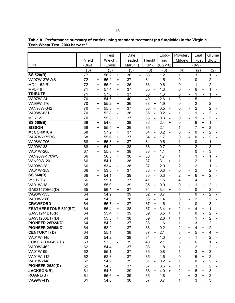|                             |                 |           | Test              |           | Date            |                |                 |                              | Lodg-            |                              | Powdery          |                              | Leaf           |                          | Glume                                      |  |
|-----------------------------|-----------------|-----------|-------------------|-----------|-----------------|----------------|-----------------|------------------------------|------------------|------------------------------|------------------|------------------------------|----------------|--------------------------|--------------------------------------------|--|
|                             | Yield           |           | W eight           |           | Headed          |                | Height          |                              | ing              |                              | Mildew           |                              | Rust           |                          | <b>Blotch</b>                              |  |
| Line                        | (Bu/a)          |           | (Lb/bu)           |           | $(Mar31+)$      |                | $(\ln)$         |                              | $(0.2 - 10)$     |                              |                  |                              | $(0-9)$        |                          |                                            |  |
|                             | (5)             |           | (5)               |           | (3)             |                | (3)             |                              | (3)              |                              | (4)              |                              | (2)            |                          | (2)                                        |  |
| <b>SS 520(R)</b>            | 77              | +         | $56.\overline{2}$ | +         | 36              |                | 38              | +                            | 1.2              |                              | 1                |                              | 3              | +                        | 1                                          |  |
| VA97W-375WS                 | 72              | +         | 55.4              | +         | 37              |                | 34              |                              | 1.5              |                              | 0                | $\overline{a}$               | 0              |                          | $\overline{2}$                             |  |
| MD11-52(R)                  | 72              | +         | 56.0              | +         | 36              |                | 33              | $\overline{\phantom{0}}$     | 0.6              | $\overline{\phantom{a}}$     | 0                | -                            | 1              |                          | 2                                          |  |
| MV5-46                      | 71              | +         | 57.4              | +         | 37              |                | 35              | $\overline{\phantom{0}}$     | 1.3              |                              | 0                | $\qquad \qquad \blacksquare$ | 6              | +                        | 1                                          |  |
| <b>TRIBUTE</b>              | 71              | +         | 57.6              | +         | 37              |                | 36              |                              | 1.6              |                              | 0                | $\qquad \qquad \blacksquare$ | 1              | $\overline{\phantom{a}}$ | 1                                          |  |
| <b>VA97W-24</b>             | $\overline{70}$ | +         | 54.6              |           | 40              | $\ddot{}$      | 40              | $\ddot{}$                    | $\overline{2.6}$ | $\ddot{}$                    | 3                | $\ddot{}$                    | 5              | $\ddot{}$                | $\overline{2}$                             |  |
| VA99W-176                   | 70              | +         | 55.2              | +         | 36              | $\blacksquare$ | 38              | $\ddot{}$                    | 1.9              |                              | 0                | $\overline{a}$               | $\overline{c}$ |                          | $\overline{2}$                             |  |
| VAN98W-342                  | 70              | +         | 55.8              | $\ddot{}$ | 37              |                | 33              | $\frac{1}{2}$                | 0.5              | $\blacksquare$               | 0                |                              | $\overline{2}$ |                          | $\overline{c}$                             |  |
| VA98W-631                   | 70              | +         | 52.8              |           | 38              |                | 35              |                              | 0.2              |                              | 1                |                              | 1              |                          | $\overline{2}$                             |  |
| MD71-5                      | 70              | +         | 55.8              | +         | 37              |                | 33              |                              | 0.3              | $\overline{\phantom{a}}$     | 0                | $\qquad \qquad$              | 1              |                          | $\overline{c}$                             |  |
| SS 550(B)                   | 69              | +         | 54.6              |           | $\overline{38}$ |                | 36              |                              | 2.4              | $\ddot{}$                    | $\overline{0}$   | $\overline{a}$               | 6              | $\ddot{}$                | 1                                          |  |
| <b>SISSON</b>               | 68              | +         | 55.5              | +         | 36              |                | 35              |                              | 2.1              |                              | 1                |                              | 7              | +                        | $\overline{2}$                             |  |
| <b>McCORMICK</b>            | 68              | +         | 57.2              | +         | 37              |                | 34              |                              | 0.2              | $\overline{\phantom{0}}$     | 0                | $\qquad \qquad \blacksquare$ | 0              |                          | $\overline{2}$                             |  |
| VA97W-375RS                 | 68              | +         | 55.6              | $\ddot{}$ | 37              |                | 34              | $\overline{\phantom{0}}$     | 1.7              |                              | 0                |                              | 0              |                          | $\overline{2}$                             |  |
| VA98W-706                   | 68              | +         | 55.8              | +         | 37              |                | 34              | $\overline{\phantom{0}}$     | 0.6              | $\qquad \qquad \blacksquare$ | 1                |                              | 0              | $\overline{\phantom{0}}$ | 1                                          |  |
| VA00W-38                    | 68              | +         | 54.2              |           | $\overline{38}$ |                | 36              |                              | 0.7              |                              | 0                | $\overline{a}$               | $\overline{2}$ |                          | 3                                          |  |
| VA01W-205                   | 67              | +         | 55.8              | +         | 38              |                | 33              | $\qquad \qquad \blacksquare$ | 1.1              |                              | 1                |                              | 0              |                          | 3                                          |  |
| <b>VAN98W-170WS</b>         | 66              | +         | 56.5              | +         | 36              |                | 38              | $\ddot{}$                    | 1.7              |                              | 1                |                              | 1              |                          | 1                                          |  |
| <b>VAN99W-20</b>            | 66              | +         | 54.1              |           | 38              |                | 37              | $\ddot{}$                    | 3.1              | $\ddot{}$                    | 1                |                              | $\overline{2}$ |                          | 1                                          |  |
| VA99W-28                    | 66              | +         | 53.4              |           | 38              |                | 37              | +                            | 2.0              |                              | $\overline{2}$   | +                            | $\overline{c}$ |                          |                                            |  |
| VA01W-353                   | 66              | $\ddot{}$ | 53.5              |           | 37              |                | 33              | $\overline{a}$               | $\overline{0.3}$ |                              | $\overline{0}$   | $\overline{a}$               | $\overline{2}$ |                          | $\overline{2}$                             |  |
| SS 560(R)                   | 66              | +         | 54.1              |           | 39              |                | 35              |                              | 0.3              | $\overline{\phantom{a}}$     | $\overline{2}$   | +                            | 6              | +                        | $\mathbf 2$                                |  |
| V9212(D)                    | 66              | +         | 55.1              |           | 37              |                | 41              | $\ddot{}$                    | 1.5              |                              | 4                | $\ddot{}$                    | 4              | $\ddot{}$                | 3                                          |  |
| VA01W-18                    | 65              |           | 55.0              |           | 39              |                | 35              |                              | 0.9              |                              | 0                | $\overline{a}$               | 1              |                          | $\overline{c}$                             |  |
| GA931470E62(D)              | 65              |           | 56.4              | +         | 37              |                | 34              |                              | 3.4              | $\ddot{}$                    | 0                | $\overline{\phantom{0}}$     | 0              | $\overline{\phantom{0}}$ | $\overline{\mathbf{c}}$                    |  |
| VA98W-335                   | 64              |           | 54.9              |           | 39              |                | $\overline{32}$ | $\overline{a}$               | 0.7              |                              | 1                |                              | 0              | $\overline{\phantom{0}}$ | $\overline{2}$                             |  |
| VA00W-286                   | 64              |           | 54.3              |           | 38              |                | 35              |                              | 1.4              |                              | 0                | $\overline{a}$               | 2              |                          | $\overline{2}$                             |  |
| <b>CRAWFORD</b>             | 64              |           | 55.7              | +         | 37              |                | 37              | $\ddot{}$                    | 1.6              |                              | 1                |                              | 0              | -                        | 3                                          |  |
| <b>FEATHERSTONE 520(RT)</b> | 64              |           | 55.4              | +         | 38              |                | 37              | +                            | 3.4              | ÷                            | 2                | +                            | 4              | +                        | 1                                          |  |
| GA931241E16(RT)             | 64              |           | 55.4              | +         | 39              |                | 39              | +                            | 3.5              | +                            | 1                |                              | 0              | $\overline{\phantom{0}}$ | $\overline{c}$                             |  |
| GA931233E17(D)              | 64              |           | 55.5              | $\ddot{}$ | 38              |                | 39              | $\ddot{}$                    | $\overline{2.8}$ | $\ddot{}$                    | 1                |                              | 1              |                          | $\overline{2}$                             |  |
| PIONEER 26R24(D)            | 64              |           | 54.2              |           | 37              |                | 38              | $+$                          | 1.6              |                              | 1                |                              | 3              | ÷                        | $\overline{c}$                             |  |
| PIONEER 26R58(D)            | 64              |           | 53.9              |           | 37              |                | 36              |                              | 0.2              |                              | $\boldsymbol{2}$ | +                            | 4              | +                        | 2                                          |  |
| <b>CENTURY II(D)</b>        | 64              |           | 55.1              |           | 38              |                | 37              | $\ddot{}$                    | 2.1              |                              | 3                | $\ddot{}$                    | 5              | $\ddot{}$                | 4<br>$\ddot{}$                             |  |
| VA01W-145                   | 63              |           | 54.2              |           | 38              |                | 34              |                              | 1.0              |                              | 0                |                              | 1              |                          | 2                                          |  |
| <b>COKER B960457(D)</b>     | 63              |           | 53.3              |           | $\overline{39}$ |                | 40              | $\ddot{}$                    | $\overline{2.1}$ |                              | $\overline{3}$   | $+$                          | 6              | $\ddot{}$                | $\mathbf 1$                                |  |
| VA00W-462                   | 62              |           | 54.4              |           | 37              |                | 38              | $\ddot{}$                    | 1.8              |                              | 1                |                              | 2              |                          | $\overline{\mathbf{c}}$                    |  |
| VA01W-99                    | 62              |           | 55.1              |           | 37              |                | 36              |                              | 0.8              |                              | 1                |                              | 3              | +                        | 3                                          |  |
| VA01W-112                   | 62              |           | 52.8              |           | 37              |                | 35              |                              | 1.6              |                              | 0                |                              | 5              | +                        | $\overline{2}$                             |  |
| VA01W-148                   | 62              |           | 54.9              |           | 39              |                | 31              | $\qquad \qquad -$            | 0.2              | $\overline{\phantom{a}}$     | 1                |                              | 0              | $\overline{\phantom{0}}$ | $\overline{c}$                             |  |
| <b>PIONEER 2580(D)</b>      | 62              |           | 54.3              |           | 37              |                | 37              | +                            | 0.6              | $\blacksquare$               | 1                |                              | 3              | +                        | $\overline{2}$<br>$\overline{\phantom{a}}$ |  |
| <b>JACKSON(B)</b>           | 61              |           | 54.5              |           | 39              |                | 38              | +                            | 4.0              | $\ddot{}$                    | $\overline{2}$   | +                            | 5              | +                        | 3                                          |  |
| <b>ROANE(B)</b>             | 61              |           | 56.6              | +         | 39              |                | 35              | $\blacksquare$               | 1.8              |                              | 4                | $\ddot{}$                    | 3              | +                        | 2                                          |  |
| VA99W-419                   | 61              |           | 54.0              |           | 38              |                | 37              | $\ddot{}$                    | 0.7              |                              | 1                |                              | 3              | $\ddot{}$                | 3                                          |  |

Table 8. Performance summary of entries using standard treatment (no fungicide) in the Virginia<br>Tech Wheat Test, 2003 harvest.\*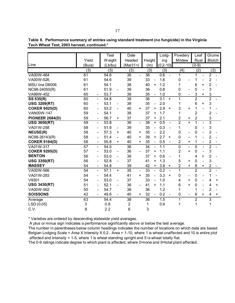| Line                   | Yield<br>(Bu/a) |                          | Test<br>W eight |           | Date<br>Headed  |           |                 |           | Lodg-        |                          | Powdery        |                              | Leaf           |                          | Glume                     |           |
|------------------------|-----------------|--------------------------|-----------------|-----------|-----------------|-----------|-----------------|-----------|--------------|--------------------------|----------------|------------------------------|----------------|--------------------------|---------------------------|-----------|
|                        |                 |                          |                 |           |                 |           |                 |           |              |                          |                |                              |                |                          |                           |           |
|                        |                 |                          |                 |           |                 |           | Height          |           | ing          |                          | Mildew         |                              | Rust           |                          | <b>Blotch</b>             |           |
|                        |                 |                          | (Lb/bu)         |           | $(Mar31+)$      |           | $(\ln)$         |           | $(0.2 - 10)$ |                          |                |                              | $(0-9)$        |                          |                           |           |
|                        | (5)             |                          | (5)             |           | (3)             |           | (3)             |           | (3)          |                          | (4)            |                              | (2)            |                          |                           | (2)       |
| VA00W-464              | 61              |                          | 54.6            |           | $\overline{36}$ |           | $\overline{36}$ |           | 0.6          |                          | 1              |                              | 1              |                          | 2                         |           |
| VA00W-526              | 61              |                          | 54.6            |           | 39              |           | 33              |           | 1.6          |                          | 0              |                              |                |                          | $\overline{c}$            |           |
| MSU line D8006         | 61              |                          | 54.1            |           | 38              |           | 40              | +         | 1.2          |                          |                |                              | 6              | +                        | $\overline{2}$            |           |
| NC98-24050(R)          | 61              |                          | 51.9            |           | 39              |           | 36              |           | 0.8          |                          | 0              |                              | 0              |                          | 3                         |           |
| VA99W-452              | 60              | $\overline{\phantom{a}}$ | 53.7            |           | 39              |           | 35              |           | 1.0          |                          | 0              |                              | 3              | +                        | 3                         |           |
| SS 535(R)              | 60              | $\overline{\phantom{a}}$ | 54.8            |           | 39              |           | 36              |           | 3.1          | $\ddot{}$                | 1              |                              | $\overline{2}$ |                          | $\overline{2}$            |           |
| <b>USG 3209(RT)</b>    | 60              | -                        | 53.1            |           | 38              |           | 35              |           | 2.0          |                          |                |                              | 6              | +                        | 3                         |           |
| <b>COKER 9025(D)</b>   | 60              | $\overline{\phantom{a}}$ | 53.2            | -         | 40              | $\ddot{}$ | 37              | +         | 2.9          | $\ddot{}$                | 3              | ÷                            | 1              |                          |                           |           |
| VAN00W-147             | 59              | $\overline{\phantom{a}}$ | 54.1            |           | 38              |           | 37              | +         | 1.7          |                          |                |                              | 2              |                          | 2                         |           |
| <b>PIONEER 2684(D)</b> | 59              | $\overline{\phantom{a}}$ | 56.7            | ÷.        | 37              |           | 37              | +         | 2.1          |                          | 2              | +                            | $\overline{c}$ |                          | 3                         |           |
| <b>USG 3650(RT)</b>    | 59              | $\overline{\phantom{a}}$ | 53.8            |           | 36              |           | 38              | $\ddot{}$ | 0.5          |                          | $\overline{2}$ | $\ddot{}$                    | 1              |                          | $\overline{3}$            |           |
| VA01W-258              | 58              | $\overline{\phantom{a}}$ | 51.9            | -         | 39              |           | 35              |           | 0.3          | $\overline{\phantom{0}}$ | 1              |                              | 0              |                          | $\ensuremath{\mathsf{3}}$ |           |
| <b>NEUSE(R)</b>        | 58              |                          | 57.3            | +         | 40              | +         | 35              |           | 2.2          |                          | 0              |                              | 0              |                          | 2                         |           |
| NC98-26143(R)          | 58              |                          | 51.4            |           | 40              | +         | 39              | +         | 2.7          | $\ddot{}$                | 0              |                              | 1              |                          | $\overline{2}$            |           |
| <b>COKER 9184(D)</b>   | 58              | $\overline{\phantom{a}}$ | 55.8            | $\ddot{}$ | 40              | $\ddot{}$ | 35              |           | 0.5          |                          | 2              | $\ddot{}$                    | 1              | $\overline{\phantom{0}}$ | 2                         |           |
| VA01W-317              | $\overline{57}$ | $\overline{\phantom{a}}$ | 54.5            |           | 38              |           | 34              |           | 1.1          |                          | 0              | $\qquad \qquad \blacksquare$ | 0              |                          | $\overline{2}$            |           |
| <b>COKER 9295(D)</b>   | 57              |                          | 53.0            | -         | 36              |           | 37              | +         | 1.1          |                          | 2              | $\ddot{}$                    | 0              |                          | 3                         |           |
| <b>BENTON</b>          | 56              | -                        | 53.0            |           | 39              |           | 37              | +         | 0.6          |                          |                |                              | 4              | +                        | $\overline{c}$            |           |
| <b>USG 3350(RT)</b>    | 56              | $\overline{\phantom{a}}$ | 52.8            |           | 37              |           | 41              | +         | 1.3          |                          | 5              | ÷                            | 0              |                          | 3                         |           |
| <b>MASSEY</b>          | 54              | $\overline{\phantom{a}}$ | 54.8            |           | 39              |           | 42              | +         | 3.9          | +                        | 2              | +                            | 8              | +                        | $\overline{c}$            |           |
| VA00W-566              | 54              | $\overline{\phantom{0}}$ | 57.1            | $\ddot{}$ | 35              |           | 33              |           | 0.2          | $\overline{a}$           | $\mathbf 1$    |                              | $\overline{2}$ |                          | $\overline{2}$            |           |
| VA01W-283              | 54              |                          | 54.4            |           | 41              | $\ddot{}$ | 35              |           | 3.3          | $\ddot{}$                | 0              | $\overline{a}$               | 0              |                          |                           |           |
| V9301                  | 54              | $\overline{\phantom{a}}$ | 53.0            |           | 37              |           | 33              |           | 1.0          |                          | 4              | ÷                            | 0              |                          | 4                         | +         |
| <b>USG 3430(RT)</b>    | 51              |                          | 52.1            |           | 36              |           | 41              | +         | 1.1          |                          | 6              | +                            | 0              |                          | 4                         | $\ddot{}$ |
| VA00W-562              | 50              |                          | 54.7            |           | 38              |           | 36              |           | 1.2          |                          | 1              |                              | 1              |                          | 2                         |           |

**Table 8. Performance summary of entries using standard treatment (no fungicide) in the Virginia Tech Wheat Test, 2003 harvest, continued.\***

C.V. 8 2.2 6 3

A plus or minus sign indicates a performance significantly above or below the test average.

The number in parentheses below column headings indicates the number of locations on which data are based. Belgian Lodging Scale = Area X Intensity X 0.2. Area = 1-10, where 1 is wheat unaffected and 10 is entire plot affected and Intensity = 1-5, where 1 is wheat standing upright and 5 is wheat totally flat.

**SOISSONS** 42 - 49.6 - 40 + 32 - 0.2 - 0 - 6+ 4+ Average 63 54.4 38 36 1.5 1 2 3 LSD (0.05) 3 0.8 2 1 0.9 1 1 1

The 0-9 ratings indicate degree to which plant is affected, where 0=none and 9=total plant affected.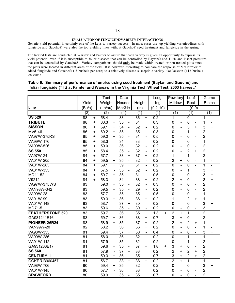## **EVALUATION OF FUNGICIDE/VARIETY INTERACTIONS**

Genetic yield potential is certainly one of the keys to variety success. In most cases the top yielding varieties/lines with fungicide and Gaucho® were also the top yielding lines without Gaucho® seed treatment and fungicide in the spring.

The treated tests are conducted at Warsaw and Painter to assure that each variety is given an opportunity to express its yield potential even if it is susceptible to foliar diseases that can be controlled by Baytan® and Tilt® and insect pressures that can be controlled by Gaucho®. Variety comparisons should only be made within treated or non-treated plots since the plots were located in different areas of the field. It is however interesting to compare the response of McCormick to added fungicide and Gaucho® (-3 bushels per acre) to a relatively disease susceptible variety like Jackson (+12 bushels per acre.)

|                         |        |           | <b>Test</b> |                          | Date            |                              |                 |                              | Lodg-        |           | Powdery        |                              | Leaf           |                          |                | Glume                    |
|-------------------------|--------|-----------|-------------|--------------------------|-----------------|------------------------------|-----------------|------------------------------|--------------|-----------|----------------|------------------------------|----------------|--------------------------|----------------|--------------------------|
|                         | Yield  |           | Weight      |                          | Headed          |                              | Height          |                              | ing          |           | Mildew         |                              | Rust           |                          |                | <b>Blotch</b>            |
| Line                    | (Bu/a) |           | (Lb/bu)     |                          | Mar31+          |                              | (ln)            |                              | $(0.2 - 10)$ |           |                |                              |                | $(0-9)$                  |                |                          |
|                         | (2)    |           | (2)         |                          | (1)             |                              | (1)             |                              | (1)          |           | (1)            |                              | (1)            |                          |                | (1)                      |
| <b>SS 520</b>           | 88     | $\ddot{}$ | 58.4        |                          | 33              | $\overline{\phantom{0}}$     | 36              | $\ddot{}$                    | 0.2          |           | 1              |                              | $\pmb{0}$      | $\overline{\phantom{0}}$ | 1              | $\overline{\phantom{0}}$ |
| <b>TRIBUTE</b>          | 88     | +         | 60.3        | +                        | 35              | $\overline{\phantom{0}}$     | 34              |                              | 0.3          |           | 0              | $\overline{\phantom{0}}$     | $\mathbf 0$    | $\overline{\phantom{a}}$ | 1              |                          |
| <b>SISSON</b>           | 86     | +         | 59.1        | +                        | 34              | $\overline{a}$               | 32              | $\qquad \qquad \blacksquare$ | 0.2          |           | 0              | $\overline{\phantom{a}}$     | 3              | $\ddot{}$                | 3              | $\ddot{}$                |
| MV5-46                  | 86     | +         | 60.2        | $\ddot{}$                | 35              | $\qquad \qquad \blacksquare$ | 35              |                              | 0.3          |           | 0              | $\qquad \qquad \blacksquare$ | $\mathbf 1$    |                          | $\overline{2}$ |                          |
| <b>VA97W-375RS</b>      | 85     | +         | 59.0        | $\ddot{}$                | 35              | $\blacksquare$               | 31              |                              | 0.5          |           | 0              | $\blacksquare$               | 0              | $\overline{\phantom{a}}$ | $\overline{2}$ |                          |
| VA99W-176               | 85     | $\ddot{}$ | 58.3        |                          | $\overline{34}$ |                              | $\overline{33}$ |                              | 0.2          |           | 0              | $\overline{a}$               | $\mathbf 0$    | $\blacksquare$           | $\overline{1}$ |                          |
| VA00W-526               | 85     | $\ddot{}$ | 59.0        | $\ddot{}$                | 36              |                              | 32              | $\overline{\phantom{a}}$     | 0.2          |           | 0              | $\overline{\phantom{0}}$     | $\mathbf 0$    | $\overline{a}$           | 2              |                          |
| <b>SS 550</b>           | 85     | $\ddot{}$ | 58.4        |                          | 35              | $\qquad \qquad \blacksquare$ | 32              | $\overline{\phantom{a}}$     | 0.2          |           | 0              | $\overline{a}$               | $\overline{2}$ | $\ddot{}$                | $\overline{c}$ |                          |
| VA97W-24                | 84     | +         | 57.7        | $\overline{a}$           | 38              | $\ddot{}$                    | 37              | +                            | 0.2          |           | 1              |                              | 1              |                          | $\overline{2}$ |                          |
| VA01W-205               | 84     | +         | 59.5        | +                        | 35              | $\qquad \qquad \blacksquare$ | 32              | $\overline{\phantom{a}}$     | 0.2          |           | 2              | +                            | 0              |                          | 1              |                          |
| VA01W-283               | 84     | $\ddot{}$ | 59.1        | $\ddot{}$                | 39              | $\ddot{}$                    | 31              | $\blacksquare$               | 0.2          |           | $\Omega$       | $\overline{\phantom{0}}$     | 0              | $\overline{a}$           | 1              | $\overline{a}$           |
| VA01W-353               | 84     | +         | 57.5        | $\overline{\phantom{0}}$ | 35              | $\overline{\phantom{a}}$     | 32              | $\overline{\phantom{0}}$     | 0.2          |           | $\mathbf 0$    | $\qquad \qquad \blacksquare$ | 1              |                          | 3              | $\ddot{}$                |
| MD11-52                 | 84     | +         | 59.7        | +                        | 35              | $\overline{\phantom{0}}$     | 31              | $\overline{\phantom{a}}$     | 0.5          |           | 0              | $\qquad \qquad \blacksquare$ | $\mathbf 0$    | $\overline{\phantom{a}}$ | 3              | $\ddot{}$                |
| V9212                   | 84     | $\ddot{}$ | 58.3        |                          | 34              | $\qquad \qquad \blacksquare$ | 38              | +                            | 0.2          |           | 2              | +                            | $\mathbf 0$    | $\overline{\phantom{0}}$ | 3              | $\ddot{}$                |
| VA97W-375WS             | 83     |           | 59.0        | +                        | 35              | $\qquad \qquad \blacksquare$ | 32              | $\qquad \qquad \blacksquare$ | 0.3          |           | 0              | $\qquad \qquad \blacksquare$ | 0              |                          | $\overline{c}$ |                          |
| VAN98W-342              | 83     |           | 59.5        | $\ddot{}$                | 35              | $\blacksquare$               | 29              | $\blacksquare$               | 0.2          |           | $\mathbf 0$    | $\overline{a}$               | $\mathbf 0$    | $\blacksquare$           | $\overline{2}$ |                          |
| VA99W-28                | 83     |           | 57.7        | $\overline{\phantom{0}}$ | 35              | $\overline{\phantom{0}}$     | 35              |                              | 0.5          |           | $\mathbf 0$    | $\overline{a}$               | $\mathbf 0$    | $\blacksquare$           | 1              |                          |
| VA01W-99                | 83     |           | 59.3        | $\ddot{}$                | 36              |                              | 36              | $\ddot{}$                    | 0.2          |           | 1              |                              | $\overline{2}$ | $\ddot{}$                | 1              |                          |
| VA01W-148               | 83     |           | 58.7        |                          | 37              | $\ddot{}$                    | 30              | $\overline{\phantom{0}}$     | 0.2          |           | 0              | $\overline{\phantom{a}}$     | $\mathbf 0$    | $\blacksquare$           | 3              | $\ddot{}$                |
| MD71-5                  | 83     |           | 59.6        | +                        | 35              | $\overline{\phantom{a}}$     | 30              | $\blacksquare$               | 0.2          |           | 0              | $\qquad \qquad -$            | $\mathbf 0$    | $\overline{\phantom{0}}$ | 3              | $\ddot{}$                |
| <b>FEATHERSTONE 520</b> | 83     |           | 59.7        | $\ddot{}$                | 36              |                              | 35              |                              | 1.3          | $\ddot{}$ | $\overline{2}$ | $\ddot{}$                    | $\mathbf{1}$   |                          | $\overline{2}$ |                          |
| GA931241E16             | 83     |           | 59.7        | $\ddot{}$                | 36              |                              | 38              | +                            | 0.7          |           | 3              | +                            | $\mathbf 0$    | $\overline{a}$           | 2              |                          |
| PIONEER 26R24           | 83     |           | 58.9        | $\ddot{}$                | 35              | $\overline{\phantom{a}}$     | 37              | +                            | 0.2          |           | $\overline{c}$ | $\ddot{}$                    | $\overline{2}$ | +                        | 1              |                          |
| <b>VAN99W-20</b>        | 82     |           | 58.2        |                          | 36              |                              | 36              | +                            | 0.2          |           | 0              | $\qquad \qquad -$            | $\mathbf 0$    | $\overline{\phantom{0}}$ | 1              |                          |
| VA98W-335               | 81     |           | 59.4        | $\ddot{}$                | 37              | $\ddot{}$                    | 30              | $\overline{\phantom{a}}$     | 0.4          |           | 0              | $\qquad \qquad \blacksquare$ | $\mathbf 0$    | $\overline{\phantom{a}}$ | 3              | $\ddot{}$                |
| VA00W-286               | 81     |           | 58.0        |                          | $\overline{36}$ |                              | $\overline{32}$ | $\blacksquare$               | 0.2          |           | 0              | $\overline{\phantom{0}}$     | 1              |                          | $\overline{1}$ | $\overline{a}$           |
| VA01W-112               | 81     |           | 57.9        | $\overline{\phantom{0}}$ | 35              | $\qquad \qquad \blacksquare$ | 32              | $\frac{1}{2}$                | 0.2          |           | $\mathbf 0$    | $\qquad \qquad \blacksquare$ | 1              |                          | $\overline{2}$ |                          |
| GA931233E17             | 81     |           | 59.6        | +                        | 35              | $\overline{\phantom{0}}$     | 37              | +                            | 1.8          | +         | 3              | +                            | 0              | $\blacksquare$           | $\overline{2}$ |                          |
| <b>SS 560</b>           | 81     |           | 57.9        | $\overline{a}$           | 37              | $\ddot{}$                    | 33              |                              | 0.2          |           | $\overline{c}$ | $\ddot{}$                    | $\overline{2}$ | $\ddot{}$                | $\overline{2}$ |                          |
| <b>CENTURY II</b>       | 81     |           | 59.3        | +                        | 36              |                              | 35              |                              | 0.7          |           | 3              | $\ddot{}$                    | $\overline{2}$ | $\ddot{}$                | $\overline{c}$ |                          |
| <b>COKER B960457</b>    | 81     |           | 56.7        | $\overline{a}$           | 38              | $\ddot{}$                    | 38              | $\ddot{}$                    | 0.2          |           | $\overline{c}$ | $+$                          | $\mathbf 1$    |                          | $\mathbf{1}$   |                          |
| VA98W-706               | 80     |           | 59.4        | +                        | 35              | $\overline{a}$               | 32              | $\overline{\phantom{a}}$     | 0.2          |           | $\mathbf 0$    | $\overline{a}$               | $\mathbf 0$    | $\overline{\phantom{0}}$ | 3              | $\ddot{}$                |
| VA01W-145               | 80     |           | 57.7        | $\overline{a}$           | 36              |                              | 33              |                              | 0.2          |           | 0              | $\overline{a}$               | $\mathbf 0$    | $\overline{a}$           | 2              |                          |
| <b>CRAWFORD</b>         | 80     |           | 59.9        | +                        | 35              |                              | 35              |                              | 0.7          |           | 0              | $\overline{\phantom{0}}$     | $\mathbf 0$    |                          | $\overline{2}$ |                          |

# **Table 9. Summary of performance of entries using seed treatment (Baytan and Gaucho) and foliar fungicide (Tilt) at Painter and Warsaw in the Virginia Tech Wheat Test, 2003 harvest.\***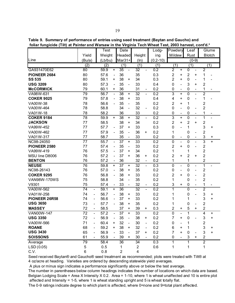Table 9. Summary of performance of entries using seed treatment (Baytan and Gaucho) and foliar fungicide (Tilt) at Painter and Warsaw in the Virginia Tech Wheat Test. 2003 harvest. cont'd.\*

|                                 |                 |                          | <b>Test</b> |                              | Date                |                              |                 |                          | Lodg-            | Powdery             |                              | Leaf             |                          |                         | Glume                        |
|---------------------------------|-----------------|--------------------------|-------------|------------------------------|---------------------|------------------------------|-----------------|--------------------------|------------------|---------------------|------------------------------|------------------|--------------------------|-------------------------|------------------------------|
|                                 | Yield           |                          | Weight      |                              | Headed              |                              | Height          |                          | ing              | Mildew              |                              | Rust             |                          |                         | <b>Blotch</b>                |
| Line                            | (Bu/a)          |                          | (Lb/bu)     |                              | Mar31+              |                              | (ln)            |                          | $(0.2 - 10)$     |                     |                              |                  | $(0-9)$                  |                         |                              |
|                                 | (2)             |                          | (2)         |                              | (1)                 |                              | (1)             |                          | (1)              | (1)                 |                              | (1)              |                          |                         | (1)                          |
| GA931470E62                     | 80              |                          | 59.9        | +                            | 35                  |                              | 32              |                          | 0.2              | $\overline{2}$      | $\ddot{}$                    | $\overline{0}$   |                          | $\overline{2}$          |                              |
| <b>PIONEER 2684</b>             | 80              |                          | 57.6        | $\overline{\phantom{a}}$     | 36                  |                              | 35              |                          | 0.3              | 2                   | +                            | $\mathbf 2$      | +                        | 1                       |                              |
| <b>SS 535</b>                   | 80              |                          | 59.1        | +                            | 38                  | +                            | 34              |                          | 0.3              | $\overline{2}$      | $\ddot{}$                    | $\mathbf 0$      | $\overline{\phantom{a}}$ | 1                       |                              |
| <b>USG 3209</b>                 | 80              |                          | 57.3        | $\qquad \qquad \blacksquare$ | 35                  | $\frac{1}{2}$                | 33              |                          | 0.4              | 0                   | $\overline{a}$               | 3                | +                        | $\mathbf{2}$            |                              |
| <b>McCORMICK</b>                | 79              |                          | 60.1        | +                            | 36                  |                              | 31              | $\blacksquare$           | 0.2              | 0                   | $\qquad \qquad \blacksquare$ | $\mathbf 0$      | $\overline{\phantom{a}}$ | 1                       | $\qquad \qquad \blacksquare$ |
| VA98W-631                       | 79              |                          | 56.7        | $\blacksquare$               | 38                  | $\ddot{}$                    | 32              | $\blacksquare$           | 0.2              | 3                   | $\ddot{}$                    | $\overline{0}$   | $\overline{\phantom{0}}$ | $\overline{2}$          |                              |
| <b>COKER 9025</b>               | 79              |                          | 57.8        | $\qquad \qquad -$            | 38                  | $\ddot{}$                    | 33              |                          | 0.4              | 4                   | +                            | $\mathbf 0$      |                          | 1                       |                              |
| VA00W-38                        | 78              |                          | 56.6        | $\frac{1}{2}$                | 35                  | $\blacksquare$               | 35              |                          | 0.2              | 2                   | +                            | 1                |                          | $\sqrt{2}$              |                              |
| VA00W-464                       | 78              |                          | 58.8        |                              | 34                  | $\frac{1}{2}$                | 32              | $\blacksquare$           | 0.2              | 0                   | $\overline{a}$               | $\mathbf 0$      | $\overline{\phantom{0}}$ | $\overline{2}$          |                              |
| VA01W-18                        | 78              |                          | 58.2        |                              | 36                  |                              | 33              |                          | 0.2              | 0                   | $\hbox{--}$                  | $\boldsymbol{0}$ | $\overline{\phantom{a}}$ | 1                       |                              |
| <b>COKER 9184</b>               | 78              |                          | 59.9        | $\ddot{}$                    | 38                  | $\ddot{}$                    | 32              |                          | 0.2              | 3                   | $\ddot{}$                    | $\mathbf 0$      |                          | $\mathbf{1}$            |                              |
| <b>JACKSON</b>                  | 77              |                          | 58.5        |                              | 38                  | $\ddot{}$                    | 34              |                          | 0.2              | $\overline{c}$      | +                            | $\overline{2}$   | $\ddot{}$                | $\overline{c}$          |                              |
| VA99W-452                       | 77              |                          | 57.7        | $\overline{\phantom{a}}$     | 37                  | $\ddot{}$                    | 33              |                          | 0.3              | 0                   |                              | 1                |                          | 3                       | +                            |
| VA00W-462                       | 77              |                          | 57.9        |                              | 35                  | $\frac{1}{2}$                | 36              | +                        | 0.2              | 1                   |                              | $\mathbf 0$      |                          | $\overline{2}$          |                              |
| VA01W-317                       | 77              |                          | 58.7        |                              | 35                  |                              | 33              |                          | 0.2              | 0                   | -                            | $\mathbf 0$      |                          | 3                       | +                            |
| NC98-24050                      | 77              |                          | 55.7        | $\overline{\phantom{a}}$     | 37                  | +                            | 33              |                          | 0.2              | 0                   | $\qquad \qquad -$            | $\mathbf 0$      | $\blacksquare$           | 3                       | $\ddot{}$                    |
| PIONEER 2580                    | 77              |                          | 57.4        | $\overline{\phantom{a}}$     | 35                  | $\qquad \qquad \blacksquare$ | 33              |                          | 0.2              | 2                   | +                            | $\mathbf 0$      | $\blacksquare$           | $\mathbf{2}$            |                              |
| VA99W-419                       | 76              |                          | 57.5        | $\qquad \qquad -$            | 37                  | $\ddot{}$                    | 34              |                          | 0.2              | 1                   |                              | 1                |                          | $\overline{c}$          |                              |
| MSU line D8006                  | 76              |                          | 57.2        | $\qquad \qquad -$            | 37                  | $\ddot{}$                    | 36              | +                        | 0.2              | 2                   | +                            | $\overline{2}$   | $\ddot{}$                | $\overline{c}$          |                              |
| <b>BENTON</b>                   | 76              |                          | 57.2        |                              | 36                  |                              | 32              | $\overline{\phantom{0}}$ | 0.2              | 1                   |                              | 1                |                          | $\boldsymbol{2}$        |                              |
| <b>NEUSE</b>                    | $\overline{76}$ |                          | 59.8        | $\ddot{}$                    | 37                  | $\ddot{}$                    | $\overline{32}$ | $\overline{a}$           | $\overline{0.3}$ | 0                   | $\overline{\phantom{0}}$     | $\mathbf 0$      | $\overline{\phantom{a}}$ | $\overline{1}$          | $\overline{a}$               |
| NC98-26143                      | 76              |                          | 57.0        | $\blacksquare$               | 38                  | $\ddot{}$                    | 35              |                          | 0.2              | 0                   | $\overline{a}$               | $\mathbf 0$      | $\overline{\phantom{a}}$ | $\overline{c}$          |                              |
| <b>COKER 9295</b>               | 76              |                          | 56.8        | $\overline{\phantom{a}}$     | 38                  | $\ddot{}$                    | 33              |                          | 0.2              | 2                   | +                            | $\mathbf 0$      | $\overline{\phantom{a}}$ | $\overline{c}$          |                              |
| <b>VAN98W-170WS</b>             | 75              |                          | 58.8        |                              | 34                  | $\overline{\phantom{0}}$     | 35              |                          | 0.2              | 1                   |                              | $\mathbf 0$      |                          | $\overline{2}$          |                              |
| V9301                           | 75              |                          | 57.4        |                              | 33                  |                              | 32              |                          | 0.2              | 3                   | +                            | $\pmb{0}$        | $\overline{\phantom{0}}$ | 1                       |                              |
| VA00W-562                       | 74              | $\overline{\phantom{a}}$ | 59.1        | $\ddot{}$                    | 36                  |                              | $\overline{32}$ | $\overline{\phantom{0}}$ | 0.2              | $\overline{1}$      |                              | $\overline{0}$   | $\blacksquare$           | $\overline{2}$          |                              |
| VA01W-258                       | 74              | $\overline{\phantom{a}}$ | 56.7        | $\overline{a}$               | 38                  | +                            | 33              |                          | 0.2              | 1                   |                              | $\mathbf 0$      |                          | 3                       | +                            |
| PIONEER 26R58                   | 74              | $\overline{\phantom{a}}$ | 56.6        | L,                           | 37                  | +                            | 33              |                          | 0.2              | 1                   |                              | 1                |                          | 3                       | $\ddot{}$                    |
| <b>USG 3650</b>                 | 73              | $\overline{\phantom{a}}$ | 57.7        | $\overline{\phantom{a}}$     | 38                  | $\ddot{}$                    | 35              |                          | 0.2              | 1                   |                              | 0                |                          | $\overline{c}$          |                              |
| <b>MASSEY</b>                   | 72              | $\overline{\phantom{a}}$ | 58.5        |                              | 37                  | $\ddot{}$                    | 39              | $^+$                     | 0.3              | 2                   | +                            | 5                | +                        | $\overline{2}$          |                              |
| VAN00W-147                      | 72              | $\blacksquare$           | 57.2        | $\overline{\phantom{a}}$     | 37                  | $\ddot{}$                    | 33              |                          | 0.2              | 0<br>$\overline{7}$ |                              | 1                |                          | 4                       | $\ddot{}$                    |
| <b>USG 3350</b>                 | 72              | $\overline{\phantom{0}}$ | 56.9        |                              | 35                  |                              | 38              | $+$                      | 0.2              |                     | $\ddot{}$                    | $\Omega$         |                          | 3                       | $\ddot{}$                    |
| VA00W-566                       | 71              |                          | 60.4        | +                            | 32                  |                              | 30              | $\overline{\phantom{0}}$ | 0.2              | 0                   |                              | 1                |                          | $\overline{\mathbf{c}}$ |                              |
| <b>ROANE</b><br><b>USG 3430</b> | 68              |                          | 59.2        | +                            | 38                  | +                            | 32              | $\frac{1}{2}$            | 0.2              | 6                   | +                            | 1                |                          | 3                       | +                            |
|                                 | 65              |                          | 56.9        |                              | 33                  | $\ddot{}$                    | 37              | +                        | 0.2              | 7                   | +                            | 0                | $\ddot{}$                | 3<br>$\overline{2}$     | +                            |
| <b>SOISSONS</b>                 | 61              |                          | 55.9        |                              | 39                  |                              | 30              |                          | 0.2              | 0                   |                              | 3                |                          | $\overline{2}$          |                              |
| Average                         | 79              |                          | 58.4        |                              | 36                  |                              | 34              |                          | 0.3              | 1                   |                              | 1                |                          |                         |                              |
| LSD (0.05)                      | 5<br>6          |                          | 0.5         |                              | 1<br>$\overline{c}$ |                              | $\overline{c}$  |                          | 0.6              | 1                   |                              | 1                |                          | 1                       |                              |
| C.V.                            |                 |                          | 0.8         |                              |                     |                              | 4               |                          |                  |                     |                              |                  |                          |                         |                              |

Seed received Baytan® and Gaucho® seed treatment as recommended; plots were treated with Tilt® at 4 oz/acre at heading. Varieties are ordered by descending statewide yield averages.

A plus or minus sign indicates a performance significantly above or below the test average.

The number in parentheses below column headings indicates the number of locations on which data are based. Belgian Lodging Scale = Area X Intensity X 0.2. Area = 1-10, where 1 is wheat unaffected and 10 is entire plot affected and Intensity = 1-5, where 1 is wheat standing upright and 5 is wheat totally flat.

The 0-9 ratings indicate degree to which plant is affected, where 0=none and 9=total plant affected.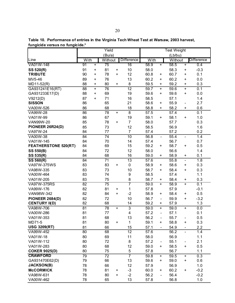|                             |                 |           | Yield           |           |                 |                   |                          | <b>Test Weight</b> |                              |                   |
|-----------------------------|-----------------|-----------|-----------------|-----------|-----------------|-------------------|--------------------------|--------------------|------------------------------|-------------------|
|                             |                 |           | (Bu/a)          |           |                 |                   |                          | (Lb/bu)            |                              |                   |
| Line                        | With            |           | Without         |           | Difference      | With              |                          | Without            |                              | <b>Difference</b> |
| VA01W-148                   | 91              | $\ddot{}$ | 75              |           | 16              | 58.9              | $\ddot{}$                | 58.5               | $\ddot{}$                    | 0.4               |
| SS 520(R)                   | 91              | +         | 81              | +         | 10              | 58.0              |                          | 58.3               | +                            | $-0.3$            |
| <b>TRIBUTE</b>              | 90              | +         | 78              | +         | 12              | 60.8              | +                        | 60.7               | +                            | 0.1               |
| MV5-46                      | 89              | +         | 76              |           | 13              | 60.2              | +                        | 60.2               | +                            | 0.0               |
| MD11-52(R)                  | 88              | $\ddot{}$ | 80              | +         | 8               | 59.5              | +                        | 59.2               | +                            | 0.3               |
| GA931241E16(RT)             | 88              | $\ddot{}$ | 76              |           | $\overline{12}$ | 59.7              | $\pm$                    | 59.6               | $\ddot{}$                    | 0.1               |
| GA931233E17(D)              | 88              | $\ddot{}$ | 69              |           | 19              | 59.6              | $\ddot{}$                | 59.6               | $\ddot{}$                    | 0.0               |
| V9212(D)                    | 87              | $\ddot{}$ | 71              |           | 16              | 58.5              |                          | 57.1               |                              | 1.4               |
| <b>SISSON</b>               | 86              |           | 65              |           | 21              | 58.6              | +                        | 55.9               | $\qquad \qquad \blacksquare$ | 2.7               |
| VA00W-526                   | 86              |           | 68              |           | 18              | 58.8              | $\ddot{}$                | 58.2               | +                            | 0.6               |
| VA99W-28                    | 86              |           | $\overline{78}$ | $\ddot{}$ | $\overline{8}$  | 57.5              |                          | 57.4               |                              | 0.1               |
| VA01W-99                    | 86              |           | 67              |           | 19              | 59.1              | +                        | 58.1               | +                            | 1.0               |
| <b>VAN99W-20</b>            | 85              |           | 78              | +         | $\overline{7}$  | 58.0              |                          | 57.7               |                              | 0.3               |
| PIONEER 26R24(D)            | 85              |           | 73              |           | 12              | 58.5              |                          | 56.9               |                              | 1.6               |
| VA97W-24                    | 84              |           | 77              |           | $\overline{7}$  | 57.4              |                          | 57.2               |                              | 0.2               |
| <b>VA00W-38</b>             | $\overline{84}$ |           | $\overline{74}$ |           | 10              | 56.8              | $\frac{1}{2}$            | 55.4               | $\overline{\phantom{0}}$     | 1.4               |
| VA01W-145                   | 84              |           | 70              |           | 14              | 57.4              |                          | 56.7               |                              | 0.7               |
| <b>FEATHERSTONE 520(RT)</b> | 84              |           | 69              |           | 15              | 59.2              | $\ddot{}$                | 58.7               | $\ddot{}$                    | 0.5               |
| <b>SS 550(B)</b>            | 84              |           | 72              |           | 12              | 58.0              |                          | 56.6               |                              | 1.4               |
| SS 535(R)                   | 84              |           | 68              |           | 16              | 59.0              | +                        | 58.9               | +                            | 0.1               |
| SS 560(R)                   | $\overline{84}$ |           | 71              |           | $\overline{13}$ | 57.6              |                          | 55.8               | $\overline{\phantom{0}}$     | 1.8               |
| VA97W-375WS                 | 83              |           | 83              | $\ddot{}$ | $\pmb{0}$       | 58.9              | +                        | 58.6               | $\ddot{}$                    | 0.3               |
| VA98W-335                   | 83              |           | 73              |           | 10              | 58.7              | $\ddot{}$                | 58.4               | $\ddot{}$                    | 0.3               |
| VA00W-464                   | 83              |           | 74              |           | 9               | 58.5              |                          | 57.4               |                              | 1.1               |
| VA01W-205                   | 83              |           | 75              |           | 8               | 58.7              | +                        | 58.4               | +                            | 0.3               |
| <b>VA97W-375RS</b>          | 82              |           | 75              |           | 7               | 59.0              | $+$                      | 58.9               | $\overline{+}$               | 0.1               |
| VA99W-176                   | 82              |           | 81              | +         | 1               | 57.8              |                          | 57.9               |                              | $-0.1$            |
| VAN98W-342                  | 82              |           | 84              | +         | $-2$            | 58.9              | +                        | 58.4               | +                            | 0.5               |
| <b>PIONEER 2684(D)</b>      | 82              |           | 72              |           | 10              | 56.7              | $\frac{1}{2}$            | 59.9               | +                            | $-3.2$            |
| <b>CENTURY II(D)</b>        | 82              |           | 68              |           | 14              | 59.2              | $\ddot{}$                | 57.9               |                              | 1.3               |
| VA98W-706                   | 81              |           | 78              | $\ddot{}$ | $\overline{3}$  | $\overline{59.0}$ | $\ddot{}$                | 59.0               | $\ddot{}$                    | 0.0               |
| VA00W-286                   | 81              |           | 77              |           | 4               | 57.2              | $\blacksquare$           | 57.1               |                              | 0.1               |
| VA01W-353                   | 81              |           | 68              |           | 13              | 56.2              | $\overline{\phantom{0}}$ | 55.7               | $\qquad \qquad \blacksquare$ | 0.5               |
| MD71-5                      | 81              |           | 80              | +         | 1               | 59.1              | +                        | 58.8               | +                            | 0.3               |
| <b>USG 3209(RT)</b>         | 81              |           | 66              |           | 15              | 57.1              |                          | 54.9               |                              | 2.2               |
| VA99W-452                   | $\overline{80}$ |           | 68              |           | $\overline{12}$ | 57.6              |                          | 56.2               | $\overline{\phantom{0}}$     | 1.4               |
| VA01W-18                    | 80              |           | 69              |           | 11              | 58.0              |                          | 56.9               |                              | 1.1               |
| VA01W-112                   | 80              |           | 72              |           | 8               | 57.2              |                          | 55.1               | $\qquad \qquad \blacksquare$ | 2.1               |
| VA01W-283                   | 80              |           | 68              |           | 12              | 59.0              | +                        | 58.5               | +                            | 0.5               |
| <b>COKER 9025(D)</b>        | 80              |           | 75              |           | 5               | 57.8              |                          | 56.7               |                              | 1.1               |
| <b>CRAWFORD</b>             | 79              |           | $\overline{72}$ |           | 7               | 59.8              | $\ddot{}$                | 59.5               | +                            | 0.3               |
| GA931470E62(D)              | 79              |           | 66              |           | 13              | 59.6              | $\ddot{}$                | 59.0               | $\ddot{}$                    | 0.6               |
| <b>JACKSON(B)</b>           | 78              |           | 66              |           | 12              | 57.9              |                          | 56.9               |                              | 1.0               |
| <b>McCORMICK</b>            | 78              |           | 81              | +         | $-3$            | 60.0              | $\ddot{}$                | 60.2               | +                            | $-0.2$            |
| VA98W-631                   | 78              |           | 80              | +         | $-2$            | 56.2              | $\overline{\phantom{0}}$ | 56.4               |                              | $-0.2$            |
| VA00W-462                   | 78              |           | 65              |           | 13              | 57.8              |                          | 56.8               |                              | 1.0               |

Table 10. Performance of entries in the Virginia Tech Wheat Test at Warsaw, 2003 harvest,<br>fungicide versus no fungicide.\*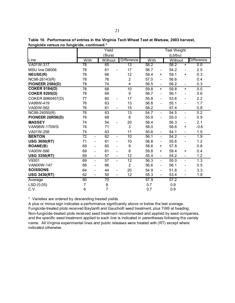|                                   |                 |                          | Yield           |                              |                   |      |                              | <b>Test Weight</b> |                              |                   |
|-----------------------------------|-----------------|--------------------------|-----------------|------------------------------|-------------------|------|------------------------------|--------------------|------------------------------|-------------------|
|                                   |                 |                          | (Bu/a)          |                              |                   |      |                              | (Lb/bu)            |                              |                   |
| Line                              | With            |                          | Without         |                              | <b>Difference</b> | With |                              | Without            |                              | <b>Difference</b> |
| VA01W-317                         | $\overline{78}$ |                          | 65              |                              | 13                | 58.2 |                              | 58.2               | $\ddot{}$                    | 0.0               |
| MSU line D8006                    | 78              |                          | 61              |                              | 17                | 56.7 | $\qquad \qquad \blacksquare$ | 54.2               | $\overline{\phantom{a}}$     | 2.5               |
| <b>NEUSE(R)</b>                   | 78              |                          | 66              |                              | 12                | 59.4 | +                            | 59.1               | +                            | 0.3               |
| NC98-26143(R)                     | 78              |                          | 76              |                              | $\overline{2}$    | 57.0 | $\qquad \qquad \blacksquare$ | 56.6               |                              | 0.4               |
| <b>PIONEER 2580(D)</b>            | 78              |                          | 74              |                              | 4                 | 56.5 | $\overline{\phantom{a}}$     | 56.2               | $\overline{\phantom{a}}$     | 0.3               |
| <b>COKER 9184(D)</b>              | 78              |                          | 68              |                              | 10                | 59.8 | $\ddot{}$                    | 59.8               | +                            | 0.0               |
| <b>COKER 9295(D)</b>              | 78              |                          | 69              |                              | 9                 | 56.7 | $\qquad \qquad \blacksquare$ | 56.1               | $\overline{\phantom{0}}$     | 0.6               |
| <b>COKER B960457(D)</b>           | 77              |                          | 60              | $\overline{\phantom{a}}$     | 17                | 55.8 | $\overline{\phantom{0}}$     | 53.6               | $\qquad \qquad -$            | 2.2               |
| VA99W-419                         | 76              |                          | 63              |                              | 13                | 56.8 | $\overline{\phantom{0}}$     | 55.1               | $\blacksquare$               | 1.7               |
| VA00W-562                         | 76              |                          | 61              | $\qquad \qquad -$            | 15                | 58.2 |                              | 57.4               |                              | 0.8               |
| $\overline{\text{NC98-24050(R)}}$ | 76              |                          | 63              |                              | $\overline{13}$   | 54.7 | $\overline{\phantom{a}}$     | 54.5               | $\qquad \qquad -$            | 0.2               |
| PIONEER 26R58(D)                  | 76              |                          | 68              |                              | 8                 | 55.9 | $\overline{\phantom{a}}$     | 55.0               | $\qquad \qquad -$            | 0.9               |
| <b>MASSEY</b>                     | 74              |                          | 54              |                              | 20                | 58.4 |                              | 56.3               | $\qquad \qquad -$            | 2.1               |
| <b>VAN98W-170WS</b>               | 74              |                          | 71              |                              | 3                 | 58.0 |                              | 58.6               | +                            | $-0.6$            |
| VA01W-258                         | 74              |                          | 63              |                              | 11                | 55.6 | $\qquad \qquad \blacksquare$ | 54.1               | $\qquad \qquad \blacksquare$ | 1.5               |
| <b>BENTON</b>                     | $\overline{72}$ | $\overline{\phantom{a}}$ | 62              | $\overline{\phantom{a}}$     | 10                | 56.1 | $\blacksquare$               | 54.2               | $\blacksquare$               | 1.9               |
| <b>USG 3650(RT)</b>               | 71              | $\overline{\phantom{0}}$ | 61              | $\qquad \qquad \blacksquare$ | 10                | 56.8 | $\qquad \qquad \blacksquare$ | 55.6               | $\qquad \qquad -$            | 1.2               |
| <b>ROANE(B)</b>                   | 69              | $\overline{\phantom{0}}$ | 60              | $\qquad \qquad \blacksquare$ | 9                 | 58.6 | +                            | 57.8               |                              | 0.8               |
| VA00W-566                         | 69              | $\overline{a}$           | 61              | $\qquad \qquad \blacksquare$ | 8                 | 59.8 | +                            | 59.4               | +                            | 0.4               |
| <b>USG 3350(RT)</b>               | 69              | $\overline{\phantom{0}}$ | 57              | $\overline{\phantom{a}}$     | 12                | 55.4 | $\qquad \qquad \blacksquare$ | 54.2               | $\overline{\phantom{0}}$     | 1.2               |
| V9301                             | 69              | $\overline{\phantom{0}}$ | 57              | $\frac{1}{2}$                | 12                | 56.3 | $\frac{1}{2}$                | 55.0               | $\overline{\phantom{0}}$     | 1.3               |
| <b>VAN00W-147</b>                 | 68              | $\overline{\phantom{0}}$ | 66              |                              | $\overline{2}$    | 56.6 | $\qquad \qquad \blacksquare$ | 56.1               | $\overline{\phantom{0}}$     | 0.5               |
| <b>SOISSONS</b>                   | 64              | -                        | 44              | $\qquad \qquad \blacksquare$ | 20                | 54.9 | $\overline{\phantom{0}}$     | 51.6               | $\blacksquare$               | 3.3               |
| <b>USG 3430(RT)</b>               | 62              | $\blacksquare$           | 50              | $\overline{\phantom{a}}$     | 12                | 55.3 | $\overline{\phantom{a}}$     | 53.4               | $\qquad \qquad -$            | 1.9               |
| Average                           | 80              |                          | $\overline{70}$ |                              |                   | 57.9 |                              | 57.2               |                              |                   |
| LSD (0.05)                        | 7               |                          | 8               |                              |                   | 0.7  |                              | 0.9                |                              |                   |
| C.V.                              | 6               |                          | $\overline{7}$  |                              |                   | 0.7  |                              | 0.9                |                              |                   |

**Table 10. Performance of entries in the Virginia Tech Wheat Test at Warsaw, 2003 harvest, fungicide versus no fungicide, continued.\***

\* Varieties are ordered by descending treated yields.

A plus or minus sign indicates a performance significantly above or below the test average. Fungicide-treated plots received Baytan® and Gaucho® seed treatment, plus Tilt® at heading. Non-fungicide-treated plots received seed treatment recommended and applied by seed companies, and the specific seed treatment applied to each line is indicated in parentheses following the variety name. All Virginia experimental lines and public releases were treated with (RT) except where indicated otherwise.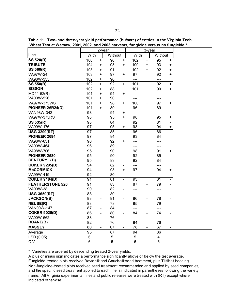|                         |                | 2-year                   |                 |                              |       | 3-year                   |                         |                          |
|-------------------------|----------------|--------------------------|-----------------|------------------------------|-------|--------------------------|-------------------------|--------------------------|
| Line                    | With           |                          | Without         |                              | With  |                          | Without                 |                          |
| <b>SS 520(R)</b>        | 106            | $\ddot{}$                | 96              | $\ddot{}$                    | 102   | $\ddot{}$                | 95                      | $\ddot{}$                |
| <b>TRIBUTE</b>          | 104            | $\ddot{}$                | 93              | $\ddot{}$                    | 100   | $\ddot{}$                | 93                      | $\ddot{}$                |
| SS 560(R)               | 103            | $\ddot{}$                | 91              |                              | 102   | +                        | 92                      | $\pmb{+}$                |
| VA97W-24                | 103            | +                        | 97              | +                            | 97    |                          | 92                      | +                        |
| VA98W-335               | 102            | $\ddot{}$                | 90              |                              | ---   |                          | $---$                   |                          |
| <b>SS 550(B)</b>        | 102            | $\ddot{}$                | 92              | $\ddot{}$                    | 101   | $\ddot{}$                | 92                      | $\ddot{}$                |
| <b>SISSON</b>           | 102            | $\ddot{}$                | 88              |                              | 101   | $\ddot{}$                | 90                      | $\ddot{}$                |
| $MD11-52(R)$            | 101            | $\ddot{}$                | 94              | +                            | ---   |                          | ---                     |                          |
| VA00W-526               | 101            | $\ddot{}$                | 90              |                              | ---   |                          | ---                     |                          |
| VA97W-375WS             | 101            | +                        | 98              | +                            | 100   | +                        | 97                      | +                        |
| <b>PIONEER 26R24(D)</b> | 101            | $\ddot{}$                | 89              |                              | 96    |                          | 89                      |                          |
| VAN98W-342              | 98             |                          | 94              | +                            | ---   |                          | ---                     |                          |
| VA97W-375RS             | 98             |                          | 95              | $\ddot{}$                    | 98    |                          | 95                      | +                        |
| SS 535(R)               | 98             |                          | 84              |                              | 92    |                          | 81                      | $\qquad \qquad -$        |
| VA99W-176               | 97             |                          | 95              | +                            | 98    |                          | 94                      | +                        |
| <b>USG 3209(RT)</b>     | 97             |                          | 85              |                              | 96    |                          | 86                      |                          |
| PIONEER 2684            | 97             |                          | 84              |                              | 93    |                          | 84                      |                          |
| VA98W-631               | 96             |                          | 92              | $\ddot{}$                    | ---   |                          | ---                     |                          |
| VA00W-464               | 96             |                          | 89              |                              | ---   |                          | $---$                   |                          |
| VA98W-706               | 95             |                          | 90              |                              | 98    |                          | 91                      | $\pm$                    |
| <b>PIONEER 2580</b>     | 95             |                          | 90              |                              | 92    |                          | 85                      |                          |
| <b>CENTURY II(D)</b>    | 95             |                          | 83              |                              | 92    |                          | 84                      |                          |
| <b>COKER 9295(D)</b>    | 94             |                          | 82              | -                            | $---$ |                          | ---                     |                          |
| <b>McCORMICK</b>        | 94             |                          | 93              | +                            | 97    |                          | 94                      | +                        |
| VA99W-419               | 92             |                          | 80              |                              | ---   |                          | ---                     |                          |
| <b>COKER 9184(D)</b>    | 91             |                          | 81              | $\frac{1}{2}$                | 93    |                          | 81                      |                          |
| <b>FEATHERSTONE 520</b> | 91             |                          | 83              |                              | 87    |                          | 79                      |                          |
| VA00W-38                | 90             |                          | 82              | $\overline{a}$               | ---   |                          | ---                     |                          |
| <b>USG 3650(RT)</b>     | 88             | $\qquad \qquad -$        | 80              | $\overline{\phantom{0}}$     | ---   |                          | ---                     |                          |
| <b>JACKSON(B)</b>       | 88             | $\overline{\phantom{a}}$ | 81              | -                            | 86    |                          | 78                      |                          |
| <b>NEUSE(R)</b>         | 88             | $\frac{1}{2}$            | 78              | $\overline{a}$               | 85    | $\frac{1}{2}$            | 79                      |                          |
| VAN00W-147              | 87             | $\overline{\phantom{a}}$ | 84              |                              | $---$ |                          | $---$                   |                          |
| <b>COKER 9025(D)</b>    | 86             | $\overline{\phantom{a}}$ | 80              | -                            | 84    | $\overline{\phantom{0}}$ | 74                      |                          |
| VA00W-562               | 83             | $\overline{\phantom{0}}$ | 76              | $\overline{a}$               | ---   |                          | $---$                   |                          |
| <b>ROANE(B)</b>         | 82             | $\overline{\phantom{a}}$ | 76              | $\overline{a}$               | 84    | $\blacksquare$           | 76                      |                          |
| <b>MASSEY</b>           | 80             | $\overline{\phantom{a}}$ | 67              | $\qquad \qquad \blacksquare$ | 78    | $\overline{\phantom{a}}$ | 67                      | $\overline{\phantom{a}}$ |
| Average                 | 95             |                          | $\overline{87}$ |                              | 94    |                          | 86                      |                          |
| LSD (0.05)              | $\,6$          |                          | 5               |                              | 5     |                          | $\overline{\mathbf{4}}$ |                          |
| C.V.                    | $6\phantom{1}$ |                          | 5               |                              | 6     |                          | $6\phantom{1}6$         |                          |

**Table 11. Two- and three-year yield performance (bu/acre) of entries in the Virginia Tech Wheat Test at Warsaw, 2001, 2002, and 2003 harvests, fungicide versus no fungicide.\***

\* Varieties are ordered by descending treated 2-year yields.

A plus or minus sign indicates a performance significantly above or below the test average. Fungicide-treated plots received Baytan® and Gaucho® seed treatment, plus Tilt® at heading. Non-fungicide-treated plots received seed treatment recommended and applied by seed companies, and the specific seed treatment applied to each line is indicated in parentheses following the variety name. All Virginia experimental lines and public releases were treated with (RT) except where indicated otherwise.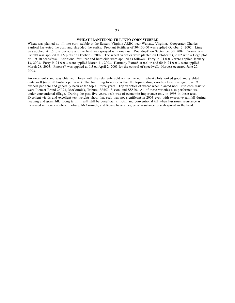#### **WHEAT PLANTED NO-TILL INTO CORN STUBBLE**

Wheat was planted no-till into corn stubble at the Eastern Virginia AREC near Warsaw, Virginia. Cooperator Charles Sanford harvested the corn and shredded the stalks. Preplant fertilizer of 30-100-60 was applied October 2, 2002. Lime was applied at 1.5 tons per acre and the field was sprayed with one quart Roundup® on September 30, 2002. Gramaxone Extra® was applied at 1.5 pints on October 9, 2002. The wheat varieties were planted on October 23, 2002 with a Hege plot drill at 30 seeds/row. Additional fertilizer and herbicide were applied as follows. Forty lb 24-0-0-3 were applied January 13, 2003. Forty lb 24-0-0-3 were applied March 11, 2003. Harmony Extra® at 0.6 oz and 60 lb 24-0-0-3 were applied March 28, 2003. Finesse7 was applied at 0.5 oz April 2, 2003 for the control of speedwell. Harvest occurred June 27, 2003.

An excellent stand was obtained. Even with the relatively cold winter the notill wheat plots looked good and yielded quite well (over 90 bushels per acre.) The first thing to notice is that the top-yielding varieties have averaged over 90 bushels per acre and generally been at the top all three years. Top varieties of wheat when planted notill into corn residue were Pioneer Brand 26R24, McCormick, Tribute, SS550, Sisson, and SS520. All of these varieties also performed well under conventional tillage. During the past five years, scab was of economic importance only in 1998 in these tests. Excellent yields and excellent test weights show that scab was not significant in 2003 even with excessive rainfall during heading and grain fill. Long term, it will still be beneficial in notill and conventional till when Fusarium resistance is increased in more varieties. Tribute, McCormick, and Roane have a degree of resistance to scab spread in the head.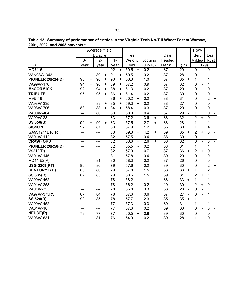|  |                                 | Table 12. Summary of performance of entries in the Virginia Tech No-Till Wheat Test at Warsaw, |  |  |
|--|---------------------------------|------------------------------------------------------------------------------------------------|--|--|
|  | 2001, 2002, and 2003 harvests.* |                                                                                                |  |  |

|                      |                 |           | Average Yield |           |       |           |             |                |                  |           |                                |                 |                              | Pow-           |                              |                |           |
|----------------------|-----------------|-----------|---------------|-----------|-------|-----------|-------------|----------------|------------------|-----------|--------------------------------|-----------------|------------------------------|----------------|------------------------------|----------------|-----------|
|                      |                 |           | (Bu/acre)     |           |       |           | <b>Test</b> |                |                  |           | Date                           |                 |                              | dery           |                              | Leaf           |           |
|                      | $3-$            |           | $2 -$         |           | $1 -$ |           | Weight      |                | Lodging          |           | Headed                         | Ht.             |                              | <b>Mildew</b>  |                              | Rust           |           |
| Line                 | year            |           | year          |           | year  |           | (Lb/bu)     |                | $(0.2 - 10)$     |           | $(Mar31+)$                     | (ln)            |                              |                | $(0-9)$                      |                |           |
| MD71-5               | ---             |           | ---           |           | 92    | $+$       | 59.5        | $+$            | 0.2              |           | 37                             | 29              |                              | $\overline{0}$ |                              | $\overline{0}$ |           |
| VAN98W-342           | ---             |           | 89            | +         | 91    | +         | 59.5        | $\ddot{}$      | 0.2              |           | 37                             | 28              |                              | $\mathbf 0$    |                              | 1              |           |
| PIONEER 26R24(D)     | 90              | +         | 90            | $\ddot{}$ | 90    | +         | 58.3        |                | 1.0              |           | 37                             | 35              | $\ddot{}$                    | 1              |                              | 1              |           |
| VA99W-176            | 94              | $\ddot{}$ | 90            | $\ddot{}$ | 89    | +         | 57.2        |                | 0.9              |           | 37                             | 32              |                              | $\mathbf 0$    |                              | 1              |           |
| <b>McCORMICK</b>     | 92              | $\ddot{}$ | 94            | $\ddot{}$ | 88    | $\ddot{}$ | 61.3        | +              | 0.2              |           | 37                             | 29              |                              | $\mathbf 0$    | $\qquad \qquad \blacksquare$ | $\mathbf 0$    |           |
| <b>TRIBUTE</b>       | $\overline{95}$ | $\ddot{}$ | 95            | $\ddot{}$ | 86    | $\ddot{}$ | 61.4        | $\pm$          | 0.2              |           | $\overline{37}$                | $\overline{30}$ |                              | $\overline{0}$ | $\qquad \qquad \blacksquare$ | $\overline{0}$ |           |
| MV5-46               | $---$           |           | $---$         |           | 86    | +         | 60.2        | $\ddot{}$      | 0.2              |           | 38                             | 31              |                              | $\mathbf 0$    | $\overline{a}$               | $\overline{2}$ | $\ddot{}$ |
| VA98W-335            | ---             |           | 89            | $\ddot{}$ | 85    | $\ddot{}$ | 59.3        | $\ddot{}$      | 0.2              |           | 38                             | 27              |                              | $\mathbf 0$    |                              | $\mathbf 0$    |           |
| VA98W-706            | 88              |           | 88            | $\ddot{}$ | 84    | +         | 58.4        | +              | 0.3              |           | 37                             | 29              |                              | $\mathbf 0$    | $\overline{a}$               | $\mathbf 0$    |           |
| VA00W-464            | ---             |           | 80            |           | 83    |           | 58.0        |                | 0.4              |           | 37                             | 29              | $\qquad \qquad \blacksquare$ | 1              |                              | 0              |           |
| VA99W-28             | $---$           |           | $---$         |           | 83    |           | 57.2        |                | 3.6              | +         | 38                             | $\overline{32}$ |                              | $\overline{2}$ | $+$                          | $\overline{0}$ |           |
| SS 550(B)            | 92              | $\ddot{}$ | 90            | $\ddot{}$ | 83    |           | 57.5        |                | 2.7              | $\ddot{}$ | 38                             | 28              | $\overline{\phantom{0}}$     | 1              |                              | 1              |           |
| <b>SISSON</b>        | 92              | $\ddot{}$ | 87            |           | 83    |           | 57.9        |                | 1.2              |           | 36                             | 30              |                              | 1              |                              | 4              | $\ddot{}$ |
| GA931241E16(RT)      | $---$           |           | ---           |           | 83    |           | 59.3        | $\ddot{}$      | 4.2              | +         | 39                             | 35              | $\ddot{}$                    | $\overline{2}$ | $\ddot{}$                    | 0              |           |
| VA01W-112            | ---             |           | ---           |           | 82    |           | 57.5        |                | 0.4              |           | 38                             | 30              |                              | $\mathbf 0$    | $\overline{\phantom{0}}$     | 1              |           |
| <b>CRAWFORD</b>      | ---             |           | $---$         |           | 82    |           | 58.6        | $\ddot{}$      | 2.6              | $+$       | 36                             | $\overline{32}$ |                              | $\overline{0}$ | $\overline{a}$               | $\overline{0}$ |           |
| PIONEER 26R58(D)     |                 |           |               |           | 82    |           | 55.5        | $\overline{a}$ | 0.2              |           | 38                             | 31              |                              | 1              |                              | 1              |           |
| V9212(D)             |                 |           |               |           | 82    |           | 57.9        |                | 0.7              |           | 37                             | 36              | $\ddot{}$                    | $\overline{2}$ | $\ddot{}$                    | $\mathbf 0$    |           |
| VA01W-145            | ---             |           | ---           |           | 81    |           | 57.8        |                | 0.4              |           | 39                             | 29              | $\overline{a}$               | $\mathbf 0$    | $\overline{a}$               | $\mathbf 0$    |           |
| MD11-52(R)           | $---$           |           | 81            |           | 80    |           | 58.3        |                | 0.2              |           | 37                             | 26              | $\overline{a}$               | $\mathbf 0$    | $\overline{a}$               | $\mathbf 0$    |           |
| <b>USG 3209(RT)</b>  | 86              |           | 80            |           | 79    |           | 57.6        |                | $\overline{0.2}$ |           | 39                             | 30              |                              | $\overline{0}$ | $\overline{a}$               | $\overline{2}$ | $\ddot{}$ |
| <b>CENTURY II(D)</b> | 83              |           | 80            |           | 79    |           | 57.8        |                | 1.5              |           | 38                             | 33              | $\ddot{}$                    | 1              |                              | $\overline{2}$ | $+$       |
| SS 535(R)            | 87              |           | 83            |           | 79    |           | 58.6        | $\ddot{}$      | 1.5              |           | 39                             | 31              |                              | $\overline{2}$ | $\ddot{}$                    | 1              |           |
| VA00W-462            | ---             |           | ---           |           | 78    |           | 58.2        |                | 1.1              |           | 38                             | 33              | $\ddot{}$                    | $\mathbf 1$    |                              | 1              |           |
| VA01W-258            | ---             |           | ---           |           | 78    |           | 56.2        |                | 0.2              |           | 40                             | 30              |                              | $\overline{c}$ | +                            | 0              |           |
| VA01W-353            | $---$           |           | $---$         |           | 78    |           | 56.8        |                | 0.3              |           | 38                             | 28              | $\overline{a}$               | $\mathbf 0$    | $\overline{\phantom{0}}$     | 1              |           |
| VA97W-375RS          | 87              |           | 84            |           | 78    |           | 57.6        |                | 0.6              |           | 37                             | 27              |                              | $\mathbf 0$    |                              | 1              |           |
| SS 520(R)            | 90              | $\ddot{}$ | 85            |           | 78    |           | 57.7        |                | 2.3              |           | 35<br>$\overline{\phantom{a}}$ | 35              | $\ddot{}$                    | 1              |                              | 1              |           |
| VA99W-452            | $---$           |           | $---$         |           | 77    |           | 57.3        |                | 0.3              |           | 39                             | 31              |                              | 1              |                              | 1              |           |
| VA01W-18             | $---$           |           | ---           |           | 77    |           | 57.6        |                | 0.2              |           | 39                             | 30              |                              | $\mathbf 0$    |                              | $\pmb{0}$      |           |
| <b>NEUSE(R)</b>      | 79              |           | 77            |           | 77    |           | 60.5        | +              | 0.8              |           | 39                             | 30              |                              | $\overline{0}$ | $\overline{\phantom{0}}$     | $\mathbf 0$    |           |
| VA98W-631            | ---             |           | 81            |           | 76    |           | 54.9        | $\overline{a}$ | 0.2              |           | 39                             | 28              |                              | 1              |                              | 0              |           |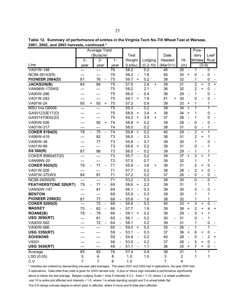|                             |                                   | Average Yield   |                          |                 |                              |                   |                              |                  |           |                 |           |                         |                              | Pow-                    |                              |                |                          |
|-----------------------------|-----------------------------------|-----------------|--------------------------|-----------------|------------------------------|-------------------|------------------------------|------------------|-----------|-----------------|-----------|-------------------------|------------------------------|-------------------------|------------------------------|----------------|--------------------------|
|                             |                                   | (Bu/acre)       |                          |                 |                              | <b>Test</b>       |                              |                  |           | Date            |           |                         |                              | dery                    |                              | Leaf           |                          |
|                             | $\overline{3}$ -                  | $2-$            |                          | $1-$            |                              | Weight            |                              | Lodging          |           | Headed          |           | Ht.                     |                              | <b>Mildew</b>           |                              | Rust           |                          |
| Line                        | year                              | year            |                          | year            |                              | (Lb/bu)           |                              | $(0.2 - 10)$     |           | $(Mar31+)$      |           | (ln)                    |                              |                         | $(0-9)$                      |                |                          |
| VA01W-148                   | ---                               | $---$           |                          | 76              |                              | 58.2              |                              | 0.2              |           | 40              |           | 26                      | $\overline{\phantom{a}}$     | 1                       |                              | $\overline{0}$ |                          |
| NC98-26143(R)               | ---                               | ---             |                          | 76              |                              | 56.2              | $\frac{1}{2}$                | 1.6              |           | 40              |           | 35                      | +                            | 0                       |                              | 0              |                          |
| <b>PIONEER 2684(D)</b>      | 81                                | 76              |                          | 75              |                              | 59.7              | +                            | 0.2              |           | 38              |           | 32                      |                              | 1                       |                              | 0              |                          |
| <b>JACKSON(B)</b>           | 84                                | 84              |                          | $\overline{75}$ |                              | 57.5              |                              | $\overline{2.9}$ | $\ddot{}$ | 39              |           | 31                      |                              | $\overline{2}$          | $\ddot{}$                    | 3              | $\ddot{}$                |
| <b>VAN98W-170WS</b>         | ---                               | ---             |                          | 75              |                              | 58.2              |                              | 2.1              |           | 36              |           | 32                      |                              | $\overline{2}$          | $\ddot{}$                    | $\pmb{0}$      |                          |
| VA00W-286                   | ---                               | ---             |                          | 75              |                              | 56.0              | $\qquad \qquad \blacksquare$ | 0.4              |           | 38              |           | 29                      | $\overline{\phantom{a}}$     | 1                       |                              | $\pmb{0}$      | $\overline{\phantom{a}}$ |
| VA01W-283                   | ---                               | ---             |                          | 75              |                              | 59.1              | +                            | 1.9              |           | 41              | $\ddot{}$ | 30                      |                              | 0                       |                              | $\pmb{0}$      |                          |
| VA97W-24                    | 95<br>$\ddot{}$                   | 93              | +                        | 75              |                              | 57.3              |                              | 0.9              |           | 39              |           | 33                      | +                            | 1                       |                              | 1              |                          |
| MSU line D8006              | ---                               | ---             |                          | 75              |                              | 55.3              | $\overline{\phantom{a}}$     | 0.2              |           | 39              |           | 34                      | $\ddot{}$                    | 1                       |                              | 1              |                          |
| GA931233E17(D)              | ---                               | ---             |                          | 75              |                              | 58.9              | $\ddot{}$                    | 3.4              | +         | 38              |           | 34                      | +                            | 1                       |                              | 0              |                          |
| GA931470E62(D)              |                                   | ---             |                          | 75              |                              | 59.2              | +                            | 3.9              | +         | 37              |           | 28                      |                              | 1                       |                              | 0              |                          |
| VA00W-526                   |                                   | 92              | +                        | 74              |                              | 58.8              | $\ddot{}$                    | 0.2              |           | 39              |           | 28                      |                              | 0                       |                              | $\mathbf 0$    |                          |
| VA01W-317                   | ---                               | ---             |                          | 74              |                              | 58.0              |                              | 0.2              |           | 38              |           | 31                      |                              | $\pmb{0}$               | $\qquad \qquad \blacksquare$ | 1              |                          |
| <b>COKER 9184(D)</b>        | $\overline{78}$<br>$\blacksquare$ | $\overline{75}$ | $\blacksquare$           | $\overline{74}$ |                              | 59.8              | $\ddot{}$                    | $\overline{0.2}$ |           | 40              |           | 29                      | $\overline{a}$               | $\overline{2}$          | $\ddot{}$                    | $\overline{1}$ |                          |
| VA99W-419                   | ---                               | 82              |                          | 73              |                              | 56.0              | $\overline{\phantom{0}}$     | 0.3              |           | 38              |           | 31                      |                              | $\overline{2}$          | $\ddot{}$                    | 1              |                          |
| VA00W-38                    | ---                               | 77              |                          | 73              |                              | 55.8              | $\overline{a}$               | 0.7              |           | 39              |           | 30                      |                              | 1                       |                              | 0              |                          |
| VA01W-99                    | ---                               | ---             |                          | 73              |                              | 58.8              | $\ddot{}$                    | 0.2              |           | 39              |           | 31                      |                              | 0                       |                              | 1              |                          |
| SS 560(R)                   | 87                                | 86              |                          | 73              |                              | 56.0              | $\frac{1}{2}$                | 0.2              |           | 39              |           | 29                      |                              | 1                       |                              | 1              |                          |
| <b>COKER B960457(D)</b>     | ---                               | ---             |                          | $\overline{73}$ |                              | 55.7              | $\overline{\phantom{0}}$     | $\overline{0.2}$ |           | $\overline{39}$ |           | $\overline{37}$         | $\ddot{}$                    | $\overline{\mathbf{3}}$ | $\ddot{}$                    | 1              |                          |
| <b>VAN99W-20</b>            | ---                               | ---             |                          | 72              |                              | 57.0              |                              | 0.7              |           | 39              |           | 32                      |                              | 1                       |                              | 1              |                          |
| <b>COKER 9025(D)</b>        | 78                                | 71              |                          | 71              |                              | 55.9              | $\overline{\phantom{0}}$     | 3.6              | +         | 39              |           | 31                      |                              | $\overline{c}$          | +                            | $\mathbf 0$    |                          |
| VA01W-205                   | ---                               | ---             |                          | 71              |                              | 57.7              |                              | 0.2              |           | 38              |           | 28                      |                              | $\overline{2}$          | $\ddot{}$                    | $\mathbf 0$    |                          |
| VA97W-375WS                 | 84                                | 81              |                          | 71              |                              | 57.2              |                              | 0.2              |           | 37              |           | 26                      | $\qquad \qquad \blacksquare$ | 0                       | $\qquad \qquad -$            | $\pmb{0}$      |                          |
| $NC98 - 24050(R)$           | ---                               | $---$           |                          | $\overline{71}$ |                              | $\overline{53.2}$ | $\overline{a}$               | 0.3              |           | 38              |           | 30                      |                              | 0                       | $\overline{\phantom{0}}$     | $\mathbf 0$    |                          |
| <b>FEATHERSTONE 520(RT)</b> | 79                                | 71              |                          | 69              |                              | 58.6              | +                            | 2.2              |           | 39              |           | 31                      |                              | 1                       |                              | 1              |                          |
| VAN00W-147                  | ---                               | 81              |                          | 69              |                              | 56.1              | $\overline{\phantom{0}}$     | 0.3              |           | 39              |           | 30                      |                              | 0                       |                              | 0              |                          |
| <b>BENTON</b>               | ---                               | $---$           |                          | 69              |                              | 55.9              | $\frac{1}{2}$                | 0.3              |           | 39              |           | 30                      |                              | 1                       |                              | 1              |                          |
| <b>PIONEER 2580(D)</b>      | 81                                | 77              |                          | 68              | $\blacksquare$               | 55.6              | $\overline{\phantom{a}}$     | 1.6              |           | 38              |           | 32                      |                              | 1                       |                              | 1              |                          |
| <b>COKER 9295(D)</b>        | ---                               | $\overline{72}$ | $\overline{\phantom{a}}$ | 68              | $\blacksquare$               | 55.6              | $\frac{1}{2}$                | 0.3              |           | 40              |           | 33                      | $\ddot{}$                    | 3                       | $\ddot{}$                    | $\mathbf 0$    |                          |
| <b>MASSEY</b>               | 70<br>$\overline{\phantom{a}}$    | 62              | $\blacksquare$           | 66              | $\qquad \qquad \blacksquare$ | 57.7              |                              | 1.9              |           | 39              |           | 36                      | $\ddot{}$                    | 2                       | +                            | 4              | $\ddot{}$                |
| <b>ROANE(B)</b>             | 78                                | 79              |                          | 66              | $\overline{\phantom{0}}$     | 59.1              | +                            | 0.2              |           | 39              |           | 29                      |                              | 5                       | $\ddot{}$                    | 1              |                          |
| <b>USG 3650(RT)</b>         | ---                               | 81              |                          | 65              |                              | 56.1              |                              | 0.2              |           | 30              |           | 31                      |                              | 0                       |                              | 1              |                          |
| VA00W-562                   | ---                               | 72              |                          | 64              |                              | 58.1              |                              | 0.2              |           | 39              |           | 31                      |                              | 1                       |                              | 0              |                          |
| VA00W-566                   |                                   | ---             |                          | 60              | $\qquad \qquad \blacksquare$ | 59.0              | $\ddot{}$                    | 0.2              |           | 35              |           | 26                      |                              | 1                       |                              | 1              |                          |
| <b>USG 3350(RT)</b>         |                                   |                 |                          | 59              |                              | 53.1              |                              | 0.3              |           | 37              |           | 36                      | $\ddot{}$                    | 6                       | +                            | 0              |                          |
| <b>SOISSONS</b>             |                                   |                 |                          | 59              |                              | 54.9              |                              | 0.2              |           | 40              |           | 28                      |                              | $\mathbf 0$             |                              | 2              | +                        |
| V9301                       |                                   |                 |                          | 56              |                              | 53.5              | $\qquad \qquad \blacksquare$ | 0.2              |           | 37              |           | 28                      |                              | 5                       | +                            | $\mathbf 0$    |                          |
| <b>USG 3430(RT)</b>         |                                   | ---             |                          | 48              |                              | 51.1              | $\qquad \qquad -$            | 1.1              |           | 36              |           | 35                      | +                            | $\overline{7}$          | +                            | 0              |                          |
| Average                     | 85                                | $\overline{82}$ |                          | $\overline{76}$ |                              | 57.4              |                              | $\overline{0.9}$ |           | 38              |           | $\overline{31}$         |                              | 1                       |                              | 1              |                          |
| LSD (0.05)                  | 5                                 | 6               |                          | 8               |                              | 1.0               |                              | 1.5              |           | 3               |           | $\overline{2}$          |                              | 1                       |                              | 1              |                          |
| C.V.                        | $\overline{7}$                    | 7               |                          | 6               |                              | 1.0               |                              |                  |           | $\overline{7}$  |           | $\overline{\mathbf{4}}$ |                              |                         |                              |                |                          |

\* Varieties are ordered by descending one-year yield averages. The years 2001 and 2002 had 4 replications; the year 2003 had 3 replications. Data other than yield is given for 2003 harvest only. A plus or minus sign indicates a performance significantly above or below the test average. Belgian Lodging Scale = Area X Intensity X 0.2. Area = 1-10, where 1 is wheat unaffected and 10 is entire plot affected and Intensity = 1-5, where 1 is wheat standing upright and 5 is wheat totally flat.

The 0-9 ratings indicate degree to which plant is affected, where 0=none and 9=total plant affected.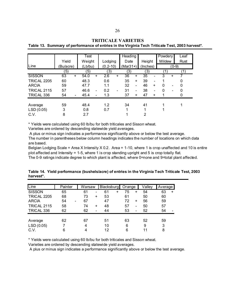|                    |                  |           | Test    |                |              |                          | Heading    |                          |          |           | Powdery  |                                                                                                                                                   | Leaf |  |
|--------------------|------------------|-----------|---------|----------------|--------------|--------------------------|------------|--------------------------|----------|-----------|----------|---------------------------------------------------------------------------------------------------------------------------------------------------|------|--|
|                    | Yield            |           | Weight  |                | Lodging      |                          | Date       |                          | Height   |           | Mildew   |                                                                                                                                                   | Rust |  |
| Line               | (Bu/acre)        |           | (Lb/bu) |                | $(0.2 - 10)$ |                          | $(Mar31+)$ |                          | (Inches) |           |          | $(0-9)$                                                                                                                                           |      |  |
|                    | $\left(5\right)$ |           | (5)     |                | (3)          |                          | (3)        |                          | (3)      |           |          |                                                                                                                                                   | 1    |  |
| <b>SISSON</b>      | 63               | $\ddot{}$ | 54.0    | $\ddot{}$      | 2.6          | $\ddot{}$                | 36         | ÷.                       | 35       |           | 3        | +                                                                                                                                                 |      |  |
| <b>TRICAL 2205</b> | 60               |           | 48.3    |                | 0.6          |                          | 35         | ÷.                       | 39       |           |          |                                                                                                                                                   | 0    |  |
| <b>ARCIA</b>       | 59               |           | 47.7    |                | 1.1          |                          | 32         | -                        | 46       | $\ddot{}$ | $\Omega$ | $\hskip1.6pt\hskip1.6pt\hskip1.6pt\hskip1.6pt\hskip1.6pt\hskip1.6pt\hskip1.6pt\hskip1.6pt\hskip1.6pt\hskip1.6pt\hskip1.6pt\hskip1.6pt\hskip1.6pt$ | 0    |  |
| <b>TRICAL 2115</b> | 57               |           | 46.6    | $\blacksquare$ | 0.2          | $\overline{\phantom{a}}$ | 31         | $\overline{\phantom{a}}$ | 38       |           |          | $\hskip1.6pt\hskip1.6pt\hskip1.6pt\hskip1.6pt\hskip1.6pt\hskip1.6pt\hskip1.6pt\hskip1.6pt\hskip1.6pt\hskip1.6pt\hskip1.6pt\hskip1.6pt\hskip1.6pt$ | 0    |  |
| TRICAL 336         | 54               |           | 45.4    |                | 1.3          |                          | 37         | $\ddot{}$                | 47       | +         |          |                                                                                                                                                   | 0    |  |
|                    |                  |           |         |                |              |                          |            |                          |          |           |          |                                                                                                                                                   |      |  |
| Average            | 59               |           | 48.4    |                | 1.2          |                          | 34         |                          | 41       |           |          |                                                                                                                                                   |      |  |
| LSD(0.05)          | 3                |           | 0.8     |                | 0.7          |                          | 1          |                          | 1        |           |          |                                                                                                                                                   |      |  |
| C.V.               | 8                |           | 2.7     |                |              |                          |            |                          | 2        |           |          |                                                                                                                                                   |      |  |

\* Yields were calculated using 60 lb/bu for both triticales and Sisson wheat.

Varieties are ordered by descending statewide yield averages.

A plus or minus sign indicates a performance significantly above or below the test average. The number in parentheses below column headings indicates the number of locations on which data are based.

Belgian Lodging Scale = Area X Intensity X 0.2. Area = 1-10, where 1 is crop unaffected and 10 is entire plot affected and Intensity = 1-5, where 1 is crop standing upright and 5 is crop totally flat. The 0-9 ratings indicate degree to which plant is affected, where 0=none and 9=total plant affected.

| Line               | Painter                                                                                                                                                 | Warsaw |                 | Blacksburg |           | Orange |                          | Valley | Average |   |
|--------------------|---------------------------------------------------------------------------------------------------------------------------------------------------------|--------|-----------------|------------|-----------|--------|--------------------------|--------|---------|---|
| <b>SISSON</b>      | 65                                                                                                                                                      | 61     | $\qquad \qquad$ | 61         | $\ddot{}$ | 75     |                          | 54     | 63      | + |
| <b>TRICAL 2205</b> | 68                                                                                                                                                      | 73     | ÷               | 53         |           | 61     |                          | 50     | 60      |   |
| <b>ARCIA</b>       | 54<br>$\hskip1.6pt\hskip1.6pt\hskip1.6pt\hskip1.6pt\hskip1.6pt\hskip1.6pt\hskip1.6pt\hskip1.6pt\hskip1.6pt\hskip1.6pt\hskip1.6pt\hskip1.6pt\hskip1.6pt$ | 67     |                 | 47         |           | 72     | $\ddot{}$                | 56     | 59      |   |
| <b>TRICAL 2115</b> | 58                                                                                                                                                      | 74     | ÷               | 48         |           | 57     | $\overline{\phantom{a}}$ | 50     | 57      |   |
| TRICAL 336         | 62                                                                                                                                                      | 62     | $\qquad \qquad$ | 44         |           | 53     |                          | 52     | 54      |   |
|                    |                                                                                                                                                         |        |                 |            |           |        |                          |        |         |   |
| Average            | 62                                                                                                                                                      | 67     |                 | 51         |           | 63     |                          | 52     | 59      |   |
| LSD(0.05)          |                                                                                                                                                         | 4      |                 | 10         |           | 6      |                          | 9      | 3       |   |
| C.V.               | 6                                                                                                                                                       |        |                 | 12         |           | 6      |                          | 11     | 8       |   |

**Table 14. Yield performance (bushels/acre) of entries in the Virginia Tech Triticale Test, 2003 harvest\*.**

\* Yields were calculated using 60 lb/bu for both triticales and Sisson wheat.

Varieties are ordered by descending statewide yield averages.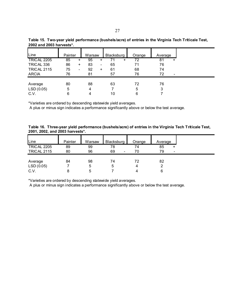| Line               | Painter |                | Warsaw |                          | Blacksburg |   | Orange | Average |      |
|--------------------|---------|----------------|--------|--------------------------|------------|---|--------|---------|------|
| <b>TRICAL 2205</b> | 85      | +              | 95     | +                        |            | + | 72     | 81      | +    |
| TRICAL 336         | 86      | $\ddot{}$      | 83     | $\overline{\phantom{0}}$ | 65         |   | 71     | 76      |      |
| <b>TRICAL 2115</b> | 75      | $\blacksquare$ | 92     | $\ddot{}$                | 61         |   | 68     | 74      |      |
| <b>ARCIA</b>       | 76      |                | 81     |                          | 57         |   | 76     | 72      | $\,$ |
|                    |         |                |        |                          |            |   |        |         |      |
| Average            | 80      |                | 88     |                          | 63         |   | 72     | 76      |      |
| LSD(0.05)          | 5       |                | 4      |                          |            |   | 5      | 3       |      |
| C.V.               | 6       |                | 4      |                          | 10         |   | 6      |         |      |

**Table 15. Two-year yield performance (bushels/acre) of entries in the Virginia Tech Triticale Test, 2002 and 2003 harvests\*.**

A plus or minus sign indicates a performance significantly above or below the test average.

**Table 16. Three-year yield performance (bushels/acre) of entries in the Virginia Tech Triticale Test, 2001, 2002, and 2003 harvests\*.**

| Line               | Painter | Warsaw | Blacksburg           | Orange | Average                        |
|--------------------|---------|--------|----------------------|--------|--------------------------------|
| <b>TRICAL 2205</b> | 89      | 99     | 78                   | 74     | 85<br>+                        |
| <b>TRICAL 2115</b> | 80      | 96     | 69<br>$\blacksquare$ | 70     | 79<br>$\overline{\phantom{a}}$ |
|                    |         |        |                      |        |                                |
| Average            | 84      | 98     | 74                   | 72     | 82                             |
| LSD(0.05)          |         | 5      | 5                    | 4      |                                |
| C.V.               | 8       | 5      |                      | 4      | 6                              |

\*Varieties are ordered by descending statewide yield averages.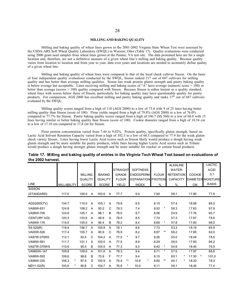#### **MILLING AND BAKING QUALITY**

Milling and baking quality of wheat lines grown in the 2001-2002 Virginia State Wheat Test were assessed by the USDA-ARS Soft Wheat Quality Laboratory (SWQL) in Wooster, Ohio (Table 17). Quality evaluations were conducted using 2000 gram seed samples from wheat lines grown at the Painter, VA test site. The data presented here are for a single location and, therefore, are not a definitive measure of a given wheat line's milling and baking quality. Because quality varies from location to location and from year to year, data over years and locations are needed to accurately define quality of a given wheat line.

Milling and baking quality of wheat lines were compared to that of the local check cultivar Sisson. On the basis of four independent quality evaluations conducted by the SWQL, Sisson ranked 217 out of 687 cultivars for milling quality and has better than average milling qualities. Sisson has weak protein gluten strength and pastry baking quality is below average but acceptable. Lines receiving milling and baking scores of "A" have average (numeric score = 100) or better than average (scores > 100) quality compared with Sisson. Because Sisson is rather lenient as a quality standard, wheat lines with scores below those of Sisson, particularly for baking quality may have questionable quality for pastry products. For comparison, AGS 2000 has excellent milling and pastry baking quality and ranks  $17<sup>th</sup>$  out of 687 cultivars evaluated by the SWQL.

Milling quality scores ranged from a high of 110 (AGS 2000) to a low of 73.8 with 9 of 25 lines having better milling quality than Sisson (score of 100). Flour yields ranged from a high of 79.8% (AGS 2000) to a low of 76.0% compared to 77.7% for Sisson. Pastry baking quality scores ranged from a high of 106.7 (SS 560) to a low of 68.0 with 15 lines having similar or better baking quality than Sisson (score of 100). Cookie diameter ranged from a high of 18.54 cm to a low of 17.10 cm compared to 17.8 cm for Sisson.

Flour protein concentration varied from 7.44 to 9.02%. Protein quality, specifically gluten strength, based on Lactic Acid Solvent Retention Capacity varied from a high of 102.3 to a low of 68.3 compared to 77.9 for the weak gluten check variety Sisson. Lines having lower Lactic Acid scores such as Sisson likely would produce a dough having weak gluten strength and be more suitable for pastry products, while lines having higher Lactic Acid scores such as Tribute would produce a dough having stronger gluten strength and be more suitable for cracker or certain bread products.

|               |                    |                |                |                |                |                 |                  |          |                           |            | <b>ALKALINE</b>  |               |         | LACTIC                   |
|---------------|--------------------|----------------|----------------|----------------|----------------|-----------------|------------------|----------|---------------------------|------------|------------------|---------------|---------|--------------------------|
|               |                    |                |                |                |                | <b>STRAIGHT</b> | <b>SOFTNESS</b>  |          |                           |            | <b>WATER</b>     |               |         | <b>ACID</b>              |
|               |                    | <b>MILLING</b> |                | <b>BAKING</b>  |                | <b>GRADE</b>    | <b>ENDOSPERM</b> |          | <b>FLOUR</b>              |            | <b>RETENTION</b> | <b>COOKIE</b> |         | 0.1                      |
|               |                    | QUALITY        |                | <b>QUALITY</b> |                | <b>FLOUR</b>    |                  |          | <b>SEPARATION PROTEIN</b> |            | <b>CAPACITY</b>  |               |         | <b>DIAMETER MOISTURE</b> |
| <b>LINE</b>   | <b>MILLABILITY</b> | <b>SCORE</b>   |                | SCORE          |                | <b>YIELD</b>    | <b>INDEX</b>     |          | %                         |            | $\%$             | <b>CM</b>     |         | <b>BASIS</b>             |
| <b>SISSON</b> |                    |                |                |                |                |                 |                  |          |                           |            |                  |               |         |                          |
| (STANDARD)    | 117.0              | 100.0          | A              | 100.0          | A              | 77.7            | 9.9              |          | 7.90                      |            | 58.1             | 17.80         |         | 77.9                     |
|               |                    |                |                |                |                |                 |                  |          |                           |            |                  |               |         |                          |
| AGS2000(TV)   | 134.7              | 110.0          | $\overline{A}$ | 105.1          | A              | 79.8            | 6.5              |          | 8.15                      |            | 57.4             | 18.06         |         | 86.0                     |
| VA98W-631     | 124.8              | 108.2          | $\overline{A}$ | 93.2           | C              | 79.3            | 7.4              |          | 8.52                      | $\star$    | 56.3             | 17.63         |         | 97.9                     |
| VA98W-706     | 124.8              | 105.1          | A              | 98.1           | B              | 78.0            | 8.7              |          | 8.06                      |            | 54.9             | 17.76         |         | 95.7                     |
| CENTURY II(D) | 120.3              | 103.6          | $\overline{A}$ | 99.9           | A              | 78.0            | 8.5              |          | 7.74                      |            | 57.3             | 17.67         |         | 78.6                     |
| VA99W-176     | 119.5              | 105.0          | A              | 96.4           | В              | 78.2            | 8.4              |          | 8.68                      | $^{\star}$ | 57.8             | 17.83         |         | 96.0                     |
| SS 520(R)     | 118.4              | 106.7          | $\overline{A}$ | 105.9          | A              | 78.1            | 8.6              |          | 7.73                      |            | 53.3             | 18.19         |         | 85.9                     |
| VA00W-526     | 117.4              | 105.7          | $\overline{A}$ | 90.9           | C              | 78.9            | 8.2              |          | 8.97                      | $***$      | 56.2             | 17.65         |         | 92.0                     |
| VA97W-375RS   | 112.1              | 93.4           | C              | 104.2          | A              | 77.0            | $^\ast$<br>9.7   |          | 8.26                      |            | 55.0             | 18.54         |         | 78.5                     |
| VA98W-591     | 111.7              | 101.1          | A              | 100.0          | $\overline{A}$ | 77.5            | 8.9              |          | 8.29                      |            | 59.0             | 17.83         |         | 96.2                     |
| VA97W-375WS   | 110.6              | 95.5           | B              | 104.5          | $\overline{A}$ | 77.3            | 9.3              |          | 8.42                      | $^{\star}$ | 54.9             | 18.45         |         | 76.5                     |
| VAN00W-147    | 109.8              | 100.6          | A              | 101.6          | A              | 78.3            | 9.4              |          | 8.71                      | $\star$    | 57.5             | 17.97         |         | 88.8                     |
| VA98W-593     | 109.6              | 98.8           | B              | 70.9           | F              | 77.7            | 9.4              |          | 8.10                      |            | 60.1<br>$\ast$   | 17.30         | $\star$ | 101.0                    |
| VA98W-335     | 106.3<br>$\star$   | 87.9           | D              | 100.9          | A              | 76.4            | $***$<br>10.6    | $^\star$ | 8.80                      | $***$      | $\ast$<br>60.1   | 18.33         |         | 78.3                     |
| MD11-52(R)    | *<br>105.9         | 90.8           | C              | 104.7          | A              | 76.9            | $\star$<br>10.0  |          | 8.11                      |            | 56.1             | 18.40         |         | 77.4                     |

## **Table 17. Milling and baking quality of entries in the Virginia Tech Wheat Test based on evaluations of the 2002 harvest.**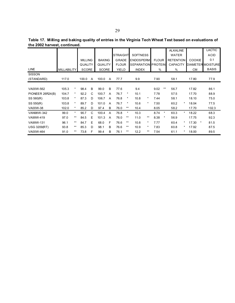|                              | Table 17. Milling and baking quality of entries in the Virginia Tech Wheat Test based on evaluations of |  |  |
|------------------------------|---------------------------------------------------------------------------------------------------------|--|--|
| the 2002 harvest, continued. |                                                                                                         |  |  |

|                     |                    |          |                |                |                |                |                 |        |                           |          |              |         | <b>ALKALINE</b>  |            |               | LACTIC                   |
|---------------------|--------------------|----------|----------------|----------------|----------------|----------------|-----------------|--------|---------------------------|----------|--------------|---------|------------------|------------|---------------|--------------------------|
|                     |                    |          |                |                |                |                | <b>STRAIGHT</b> |        | <b>SOFTNESS</b>           |          |              |         | <b>WATER</b>     |            |               | <b>ACID</b>              |
|                     |                    |          | <b>MILLING</b> |                | <b>BAKING</b>  |                | <b>GRADE</b>    |        | <b>ENDOSPERM</b>          |          | <b>FLOUR</b> |         | <b>RETENTION</b> |            | <b>COOKIE</b> | 0.1                      |
|                     |                    |          | QUALITY        |                | <b>QUALITY</b> |                | <b>FLOUR</b>    |        | <b>SEPARATION PROTEIN</b> |          |              |         | <b>CAPACITY</b>  |            |               | <b>DIAMETER MOISTURE</b> |
| <b>LINE</b>         | <b>MILLABILITY</b> |          | <b>SCORE</b>   |                | <b>SCORE</b>   |                | YIELD           |        | <b>INDEX</b>              |          | %            |         | %                |            | <b>CM</b>     | <b>BASIS</b>             |
| <b>SISSON</b>       |                    |          |                |                |                |                |                 |        |                           |          |              |         |                  |            |               |                          |
| (STANDARD)          | 117.0              |          | 100.0          | $\overline{A}$ | 100.0          | A              | 77.7            |        | 9.9                       |          | 7.90         |         | 58.1             |            | 17.80         | 77.9                     |
|                     |                    |          |                |                |                |                |                 |        |                           |          |              |         |                  |            |               |                          |
| VA00W-562           | 105.3              | $^\star$ | 98.4           | B              | 99.0           | B              | 77.6            |        | 9.4                       |          | 9.02         | $***$   | 56.7             |            | 17.82         | 86.1                     |
| PIONEER 26R24(B)    | 104.7              | $^\star$ | 92.2           | C              | 100.7          | A              | 76.7            | $\ast$ | 10.1                      |          | 7.78         |         | 57.5             |            | 17.70         | 88.9                     |
| SS 560(R)           | 103.8              | $^\star$ | 87.3           | D              | 106.7          | A              | 76.8            |        | 10.8                      | $^\star$ | 7.44         |         | 58.1             |            | 18.10         | 75.0                     |
| SS 550(R)           | 103.8              | $^\star$ | 89.7           | D.             | 101.0          | A              | 76.7            |        | 10.6                      | $\star$  | 7.50         |         | 60.2             | $^\star$   | 18.04         | 77.5                     |
| VA00W-38            | 102.0              | *        | 85.2           | D              | 97.4           | B              | 76.0            | $***$  | 10.4                      |          | 8.05         |         | 58.2             |            | 17.70         | 102.3                    |
| VAN98W-342          | 99.0               | $\star$  | 90.7           | C              | 100.4          | $\overline{A}$ | 76.8            | $\ast$ | 10.3                      |          | 8.74         | $^\ast$ | 60.3             | $\star$    | 18.22         | 68.3                     |
| VA99W-419           | 97.0               | $***$    | 84.5           | Ε              | 101.3          | A              | 76.0            | $***$  | 11.0                      | $***$    | 8.38         | $^\ast$ | 56.9             |            | 17.75         | 92.3                     |
| VA99W-131           | 96.1               | $***$    | 84.7           | Е              | 68.0           | E              | 76.6            | $***$  | 10.8                      | $^\ast$  | 7.77         |         | 60.4             | $^\star$   | 17.30         | 81.5<br>$\ast$           |
| <b>USG 3209(RT)</b> | 93.8               | $***$    | 85.3           | D              | 98.1           | B              | 76.6            | $***$  | 10.9                      | $^\ast$  | 7.83         |         | 60.8             | *          | 17.92         | 87.5                     |
| VA00W-464           | 91.0               | $***$    | 73.8           | F              | 99.4           | в              | 76.1            | **     | 12.2                      | $***$    | 7.54         |         | 61.1             | $^{\star}$ | 18.00         | 89.5                     |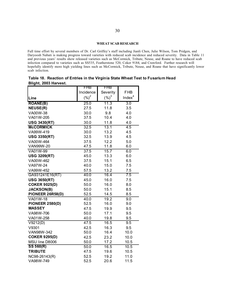#### **WHEAT SCAB RESEARCH**

Full time effort by several members of Dr. Carl Griffey's staff including Jianli Chen, Julie Wilson, Tom Pridgen, and Daryoosh Nabati is making progress toward varieties with reduced scab incidence and reduced severity. Data in Table 11 and previous years' results show released varieties such as McCormick, Tribute, Neuse, and Roane to have reduced scab infection compared to varieties such as SS535, Featherstone 520, Coker 9184, and Crawford. Further research will hopefully identify more high yielding lines such as McCormick, Tribute, Neuse, and Roane that have significantly lower scab infection.

|                       |  |  | Table 18. Reaction of Entries in the Virginia State Wheat Test to Fusarium Head |  |
|-----------------------|--|--|---------------------------------------------------------------------------------|--|
| Blight, 2003 Harvest. |  |  |                                                                                 |  |

|                        | FHB               | FHB      |                    |
|------------------------|-------------------|----------|--------------------|
|                        | Incidence         | Severity | <b>FHB</b>         |
| Line                   | $({\%})^2$        | $(\%)^3$ | Index <sup>4</sup> |
| <b>ROANE(B)</b>        | 25.0              | 11.3     | 3.0                |
| <b>NEUSE(R)</b>        | 27.5              | 11.8     | 3.5                |
| VA00W-38               | 30.0              | 9.8      | 4.0                |
| VA01W-205              | 37.5              | 10.4     | 4.0                |
| <b>USG 3430(RT)</b>    | 30.0              | 11.8     | 4.0                |
| <b>McCORMICK</b>       | 32.5              | 13.1     | 4.5                |
| VA99W-419              | 30.0              | 13.2     | 4.5                |
| <b>USG 3350(RT)</b>    | 32.5              | 13.9     | 4.5                |
| VA00W-464              | 37.5              | 12.2     | 5.0                |
| <b>VAN99W-20</b>       | 47.5              | 11.8     | 6.0                |
| VA01W-99               | $\overline{37.5}$ | 15.7     | 6.0                |
| <b>USG 3209(RT)</b>    | 45.0              | 13.3     | 6.0                |
| VA00W-462              | 37.5              | 15.1     | 6.5                |
| VA97W-24               | 40.0              | 15.0     | 7.5                |
| VA99W-452              | 57.5              | 13.2     | 7.5                |
| GA931241E16(RT)        | 40.0              | 16.4     | 7.5                |
| <b>USG 3650(RT)</b>    | 45.0              | 16.0     | 7.5                |
| <b>COKER 9025(D)</b>   | 50.0              | 16.0     | 8.0                |
| <b>JACKSON(B)</b>      | 50.0              | 15.1     | 8.5                |
| PIONEER 26R58(D)       | 52.5              | 14.5     | 8.5                |
| VA01W-18               | 40.0              | 19.2     | 9.0                |
| <b>PIONEER 2580(D)</b> | 52.5              | 16.0     | 9.0                |
| <b>MASSEY</b>          | 47.5              | 19.9     | 9.5                |
| VA98W-706              | 50.0              | 17.1     | 9.5                |
| VA01W-258              | 40.0              | 19.8     | 9.5                |
| V9212(D)               | 47.5              | 16.5     | $\overline{9.5}$   |
| V9301                  | 42.5              | 16.3     | 9.5                |
| VAN98W-342             | 50.0              | 16.4     | 10.0               |
| <b>COKER 9295(D)</b>   | 42.5              | 23.2     | 10.0               |
| MSU line D8006         | 50.0              | 17.2     | 10.5               |
| SS 560(R)              | 50.0              | 16.5     | 10.5               |
| <b>TRIBUTE</b>         | 47.5              | 19.6     | 10.5               |
| NC98-26143(R)          | 52.5              | 19.2     | 11.0               |
| VA98W-749              | 52.5              | 20.6     | 11.5               |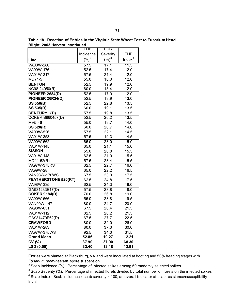|                             | FHB        | FHB      |                    |
|-----------------------------|------------|----------|--------------------|
|                             | Incidence  | Severity | <b>FHB</b>         |
| Line                        | $({\%})^2$ | $(\%)^3$ | Index <sup>4</sup> |
| VA00W-286                   | 57.5       | 17.1     | 11.5               |
| VA99W-176                   | 52.5       | 17.4     | 12.0               |
| VA01W-317                   | 57.5       | 21.4     | 12.0               |
| MD71-5                      | 55.0       | 18.0     | 12.0               |
| <b>BENTON</b>               | 52.5       | 19.9     | 12.0               |
| NC98-24050(R)               | 60.0       | 18.4     | 12.0               |
| <b>PIONEER 2684(D)</b>      | 52.5       | 17.9     | 12.0               |
| PIONEER 26R24(D)            | 52.5       | 19.9     | 13.0               |
| <b>SS 550(B)</b>            | 52.5       | 22.8     | 13.5               |
| SS 535(R)                   | 60.0       | 19.1     | 13.5               |
| <b>CENTURY II(D)</b>        | 57.5       | 19.8     | 13.5               |
| <b>COKER B960457(D)</b>     | 52.5       | 20.2     | 13.5               |
| MV5-46                      | 55.0       | 19.7     | 14.0               |
| SS 520(R)                   | 60.0       | 20.7     | 14.0               |
| VA00W-526                   | 57.5       | 22.1     | 14.5               |
| VA01W-353                   | 57.5       | 19.3     | 14.5               |
| VA00W-562                   | 65.0       | 23.0     | 15.0               |
| VA01W-145                   | 65.0       | 21.1     | 15.0               |
| <b>SISSON</b>               | 55.0       | 20.8     | 15.5               |
| VA01W-148                   | 62.5       | 21.0     | 15.5               |
| $MD11-52(R)$                | 57.5       | 23.4     | 15.5               |
| VA97W-375RS                 | 62.5       | 22.7     | 16.0               |
| VA99W-28                    | 65.0       | 22.2     | 16.5               |
| <b>VAN98W-170WS</b>         | 67.5       | 23.9     | 17.5               |
| <b>FEATHERSTONE 520(RT)</b> | 62.5       | 24.8     | 17.5               |
| VA98W-335                   | 62.5       | 24.3     | 18.0               |
| GA931233E17(D)              | 57.5       | 23.8     | 18.0               |
| <b>COKER 9184(D)</b>        | 70.0       | 26.8     | 19.0               |
| VA00W-566                   | 55.0       | 23.8     | 19.5               |
| <b>VAN00W-147</b>           | 80.0       | 24.7     | 20.0               |
| VA98W-631                   | 67.5       | 26.4     | 21.5               |
| VA01W-112                   | 82.5       | 26.2     | 21.5               |
| GA931470E62(D)              | 67.5       | 27.7     | 22.5               |
| <b>CRAWFORD</b>             | 80.0       | 32.0     | 26.0               |
| VA01W-283                   | 80.0       | 37.0     | 30.0               |
| VA97W-375WS                 | 92.5       | 34.0     | 31.5               |
| <b>Grand Mean</b>           | 52.86      | 19.27    | 12.21              |
| CV (%)                      | 37.90      | 37.90    | 68.30              |
| LSD (0.05)                  | 33.40      | 12.18    | 13.91              |

**Table 18. Reaction of Entries in the Virginia State Wheat Test to Fusarium Head Blight, 2003 Harvest, continued.**

Entries were planted at Blacksburg, VA and were inoculated at booting and 50% heading stages with *Fusarium graminearum* spore suspension.

<sup>2</sup> Scab Incidence (%): Percentage of infected spikes among 50 randomly selected spikes.

<sup>3</sup> Scab Severity (%): Percentage of infected florets divided by total number of florets on the infected spikes.

<sup>4</sup> Scab Index: Scab incidence x scab severity x 100; an overall indicator of scab resistance/susceptibility level.